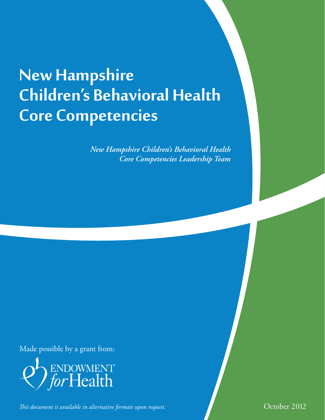# **New Hampshire Children's Behavioral Health Core Competencies**

*New Hampshire Children's Behavioral Health Core Competencies Leadership Team*

Made possible by a grant from:



*This document is available in alternative formats upon request.* This document of  $\sim$  October 2012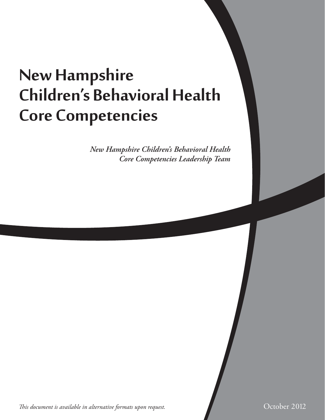# **New Hampshire Children's Behavioral Health Core Competencies**

*New Hampshire Children's Behavioral Health Core Competencies Leadership Team*

*This document is available in alternative formats upon request.* This document of the control of  $\sim$  October 2012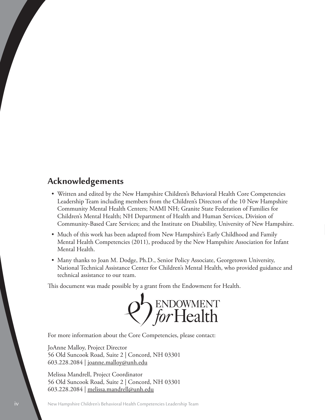# **Acknowledgements**

- • Written and edited by the New Hampshire Children's Behavioral Health Core Competencies Leadership Team including members from the Children's Directors of the 10 New Hampshire Community Mental Health Centers; NAMI NH; Granite State Federation of Families for Children's Mental Health; NH Department of Health and Human Services, Division of Community-Based Care Services; and the Institute on Disability, University of New Hampshire.
- Much of this work has been adapted from New Hampshire's Early Childhood and Family Mental Health Competencies (2011), produced by the New Hampshire Association for Infant Mental Health.
- Many thanks to Joan M. Dodge, Ph.D., Senior Policy Associate, Georgetown University, National Technical Assistance Center for Children's Mental Health, who provided guidance and technical assistance to our team.

This document was made possible by a grant from the Endowment for Health.



For more information about the Core Competencies, please contact:

JoAnne Malloy, Project Director 56 Old Suncook Road, Suite 2 | Concord, NH 03301 603.228.2084 | joanne.malloy@unh.edu

Melissa Mandrell, Project Coordinator 56 Old Suncook Road, Suite 2 | Concord, NH 03301 603.228.2084 | melissa.mandrell@unh.edu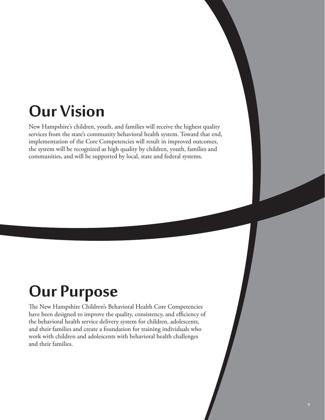# **Our Vision**

New Hampshire's children, youth, and families will receive the highest quality services from the state's community behavioral health system. Toward that end, implementation of the Core Competencies will result in improved outcomes, the system will be recognized as high quality by children, youth, families and communities, and will be supported by local, state and federal systems.

# **Our Purpose**

The New Hampshire Children's Behavioral Health Core Competencies have been designed to improve the quality, consistency, and efficiency of the behavioral health service delivery system for children, adolescents, and their families and create a foundation for training individuals who work with children and adolescents with behavioral health challenges and their families.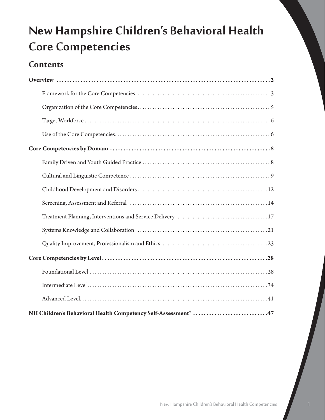# **New Hampshire Children's Behavioral Health Core Competencies**

# **Contents**

| NH Children's Behavioral Health Competency Self-Assessment* 47 |
|----------------------------------------------------------------|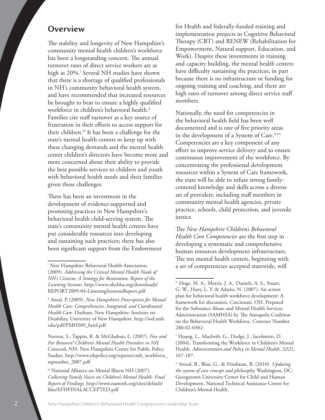# **Overview**

The stability and longevity of New Hampshire's community mental health children's workforce has been a longstanding concern. The annual turnover rates of direct service workers are as high as 20%.<sup>i</sup> Several NH studies have shown that there is a shortage of qualified professionals in NH's community behavioral health system, and have recommended that increased resources be brought to bear to ensure a highly qualified workforce in children's behavioral health.<sup>ii</sup> Families cite staff turnover as a key source of frustration in their efforts to access support for their children.<sup>iii</sup> It has been a challenge for the state's mental health centers to keep up with these changing demands and the mental health center children's directors have become more and more concerned about their ability to provide the best possible services to children and youth with behavioral health needs and their families given these challenges.

There has been an investment in the development of evidence-supported and promising practices in New Hampshire's behavioral health child-serving system. The state's community mental health centers have put considerable resources into developing and sustaining such practices; there has also been significant support from the Endowment

ii Antal, P. (2009). *New Hampshire's Prescription for Mental Health Care: Comprehensive, Integrated, and Coordinated Health Care.* Durham, New Hampshire: Institute on Disability, University of New Hampshire. http://iod.unh. edu/pdf/PMHS09\_brief.pdf

Norton, S., Tappin, R. & McGlashan, L. (2007). *Few and Far Between? Children's Mental Health Providers in NH.* Concord, NH: New Hampshire Center for Public Policy Studies. http://www.nhpolicy.org/reports/cmh\_workforce\_ september\_2007.pdf

iii National Alliance on Mental Illness NH (2007). *Collecting Family Voices on Children's Mental Health: Final Report of Findings.* http://www.naminh.org/sites/default/ files/EFHFINALACCEPTED.pdf

for Health and federally-funded training and implementation projects in Cognitive Behavioral Therapy (CBT) and RENEW (Rehabilitation for Empowerment, Natural support, Education, and Work). Despite these investments in training and capacity building, the mental health centers have difficulty sustaining the practices, in part because there is no infrastructure or funding for ongoing training and coaching, and there are high rates of turnover among direct service staff members.

Nationally, the need for competencies in the behavioral health field has been well documented and is one of five priority areas in the development of a System of Care.ivvi Competencies are a key component of any effort to improve service delivery and to ensure continuous improvement of the workforce. By concentrating the professional development resources within a System of Care framework, the state will be able to infuse strong familycentered knowledge and skills across a diverse set of providers, including staff members in community mental health agencies, private practice, schools, child protection, and juvenile justice.

The *New Hampshire Children's Behavioral Health Core Competencies* are the first step in developing a systematic and comprehensive human resources development infrastructure. The ten mental health centers, beginning with a set of competencies accepted statewide, will

<sup>i</sup> New Hampshire Behavioral Health Association. (2009). *Addressing the Critical Mental Health Needs of NH's Citizens: A Strategy for Restoration. Report of the Listening Sessions.* http://www.nhcbha.org/downloads/ REPORT2009-04-ListeningSessionsReport.pdf

iv Hoge, M. A., Morris, J. A., Daniels, A. S., Stuart, G. W., Huey, L. Y. & Adams, N. (2007). An action plan for behavioral health workforce development: A framework for discussion. Cincinnati, OH. Prepared for the Substance Abuse and Mental Health Services Administration (SAMHSA) by The Annapolis Coalition on the Behavioral Health Workforce. Contract Number 280-02-0302.

<sup>v</sup> Huang, L., Macbeth, G., Dodge, J., Jacobstein, D. (2004). Transforming the Workforce in Children's Mental Health. *Administration and Policy in Mental Health*, *32*(2), 167-187.

vi Stroul, B., Blau, G., & Friedman, R. (2010). *Updating the system of care concept and philosophy.* Washington, DC: Georgetown University Center for Child and Human Development, National Technical Assistance Center for Children's Mental Health.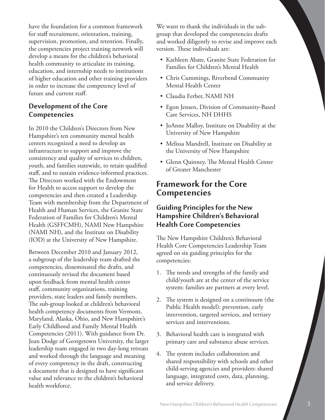have the foundation for a common framework for staff recruitment, orientation, training, supervision, promotion, and retention. Finally, the competencies project training network will develop a means for the children's behavioral health community to articulate its training, education, and internship needs to institutions of higher education and other training providers in order to increase the competency level of future and current staff.

## **Development of the Core Competencies**

In 2010 the Children's Directors from New Hampshire's ten community mental health centers recognized a need to develop an infrastructure to support and improve the consistency and quality of services to children, youth, and families statewide, to retain qualified staff, and to sustain evidence-informed practices. The Directors worked with the Endowment for Health to access support to develop the competencies and then created a Leadership Team with membership from the Department of Health and Human Services, the Granite State Federation of Families for Children's Mental Health (GSFFCMH), NAMI New Hampshire (NAMI NH), and the Institute on Disability (IOD) at the University of New Hampshire.

Between December 2010 and January 2012, a subgroup of the leadership team drafted the competencies, disseminated the drafts, and continuously revised the document based upon feedback from mental health center staff, community organizations, training providers, state leaders and family members. The sub-group looked at children's behavioral health competency documents from Vermont, Maryland, Alaska, Ohio, and New Hampshire's Early Childhood and Family Mental Health Competencies (2011). With guidance from Dr. Joan Dodge of Georgetown University, the larger leadership team engaged in two day-long retreats and worked through the language and meaning of every competency in the draft, constructing a document that is designed to have significant value and relevance to the children's behavioral health workforce.

We want to thank the individuals in the subgroup that developed the competencies drafts and worked diligently to revise and improve each version. These individuals are:

- Kathleen Abate, Granite State Federation for Families for Children's Mental Health
- • Chris Cummings, Riverbend Community Mental Health Center
- • Claudia Ferber, NAMI NH
- • Egon Jensen, Division of Community-Based Care Services, NH DHHS
- JoAnne Malloy, Institute on Disability at the University of New Hampshire
- • Melissa Mandrell, Institute on Disability at the University of New Hampshire
- Glenn Quinney, The Mental Health Center of Greater Manchester

# **Framework for the Core Competencies**

## **Guiding Principles for the New Hampshire Children's Behavioral Health Core Competencies**

The New Hampshire Children's Behavioral Health Core Competencies Leadership Team agreed on six guiding principles for the competencies:

- 1. The needs and strengths of the family and child/youth are at the center of the service system: families are partners at every level.
- 2. The system is designed on a continuum (the Public Health model): prevention, early intervention, targeted services, and tertiary services and interventions.
- 3. Behavioral health care is integrated with primary care and substance abuse services.
- 4. The system includes collaboration and shared responsibility with schools and other child-serving agencies and providers: shared language, integrated costs, data, planning, and service delivery.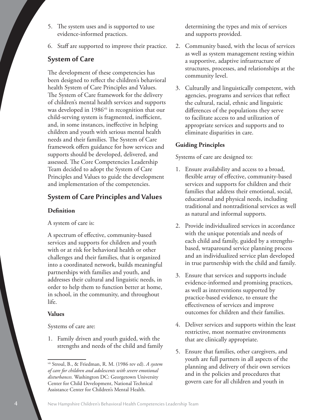- 5. The system uses and is supported to use evidence-informed practices.
- 6. Staff are supported to improve their practice.

## **System of Care**

The development of these competencies has been designed to reflect the children's behavioral health System of Care Principles and Values. The System of Care framework for the delivery of children's mental health services and supports was developed in 1986<sup>vii</sup> in recognition that our child-serving system is fragmented, inefficient, and, in some instances, ineffective in helping children and youth with serious mental health needs and their families. The System of Care framework offers guidance for how services and supports should be developed, delivered, and assessed. The Core Competencies Leadership Team decided to adopt the System of Care Principles and Values to guide the development and implementation of the competencies.

## **System of Care Principles and Values**

#### **Definition**

A system of care is:

A spectrum of effective, community-based services and supports for children and youth with or at risk for behavioral health or other challenges and their families, that is organized into a coordinated network, builds meaningful partnerships with families and youth, and addresses their cultural and linguistic needs, in order to help them to function better at home, in school, in the community, and throughout life.

#### **Values**

#### Systems of care are:

1. Family driven and youth guided, with the strengths and needs of the child and family determining the types and mix of services and supports provided.

- 2. Community based, with the locus of services as well as system management resting within a supportive, adaptive infrastructure of structures, processes, and relationships at the community level.
- 3. Culturally and linguistically competent, with agencies, programs and services that reflect the cultural, racial, ethnic and linguistic differences of the populations they serve to facilitate access to and utilization of appropriate services and supports and to eliminate disparities in care.

#### **Guiding Principles**

Systems of care are designed to:

- 1. Ensure availability and access to a broad, flexible array of effective, community-based services and supports for children and their families that address their emotional, social, educational and physical needs, including traditional and nontraditional services as well as natural and informal supports.
- 2. Provide individualized services in accordance with the unique potentials and needs of each child and family, guided by a strengthsbased, wraparound service planning process and an individualized service plan developed in true partnership with the child and family.
- 3. Ensure that services and supports include evidence-informed and promising practices, as well as interventions supported by practice-based evidence, to ensure the effectiveness of services and improve outcomes for children and their families.
- 4. Deliver services and supports within the least restrictive, most normative environments that are clinically appropriate.
- 5. Ensure that families, other caregivers, and youth are full partners in all aspects of the planning and delivery of their own services and in the policies and procedures that govern care for all children and youth in

vii Stroul, B., & Friedman, R. M. (1986 rev ed). *A system of care for children and adolescents with severe emotional disturbances.* Washington DC: Georgetown University Center for Child Development, National Technical Assistance Center for Children's Mental Health.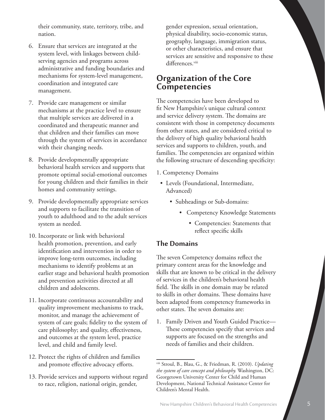their community, state, territory, tribe, and nation.

- 6. Ensure that services are integrated at the system level, with linkages between childserving agencies and programs across administrative and funding boundaries and mechanisms for system-level management, coordination and integrated care management.
- 7. Provide care management or similar mechanisms at the practice level to ensure that multiple services are delivered in a coordinated and therapeutic manner and that children and their families can move through the system of services in accordance with their changing needs.
- 8. Provide developmentally appropriate behavioral health services and supports that promote optimal social-emotional outcomes for young children and their families in their homes and community settings.
- 9. Provide developmentally appropriate services and supports to facilitate the transition of youth to adulthood and to the adult services system as needed.
- 10. Incorporate or link with behavioral health promotion, prevention, and early identification and intervention in order to improve long-term outcomes, including mechanisms to identify problems at an earlier stage and behavioral health promotion and prevention activities directed at all children and adolescents.
- 11. Incorporate continuous accountability and quality improvement mechanisms to track, monitor, and manage the achievement of system of care goals; fidelity to the system of care philosophy; and quality, effectiveness, and outcomes at the system level, practice level, and child and family level.
- 12. Protect the rights of children and families and promote effective advocacy efforts.
- 13. Provide services and supports without regard to race, religion, national origin, gender,

gender expression, sexual orientation, physical disability, socio-economic status, geography, language, immigration status, or other characteristics, and ensure that services are sensitive and responsive to these differences.<sup>viii</sup>

# **Organization of the Core Competencies**

The competencies have been developed to fit New Hampshire's unique cultural context and service delivery system. The domains are consistent with those in competency documents from other states, and are considered critical to the delivery of high quality behavioral health services and supports to children, youth, and families. The competencies are organized within the following structure of descending specificity:

- 1. Competency Domains
- • Levels (Foundational, Intermediate, Advanced)
	- Subheadings or Sub-domains:
		- • Competency Knowledge Statements
			- • Competencies: Statements that reflect specific skills

### **The Domains**

The seven Competency domains reflect the primary content areas for the knowledge and skills that are known to be critical in the delivery of services in the children's behavioral health field. The skills in one domain may be related to skills in other domains. These domains have been adapted from competency frameworks in other states. The seven domains are:

1. Family Driven and Youth Guided Practice-These competencies specify that services and supports are focused on the strengths and needs of families and their children.

viii Stroul, B., Blau, G., & Friedman, R. (2010). *Updating the system of care concept and philosophy.* Washington, DC: Georgetown University Center for Child and Human Development, National Technical Assistance Center for Children's Mental Health.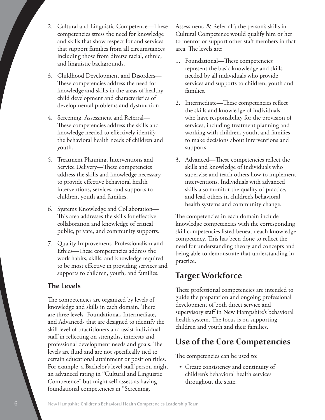- 2. Cultural and Linguistic Competence—These competencies stress the need for knowledge and skills that show respect for and services that support families from all circumstances including those from diverse racial, ethnic, and linguistic backgrounds.
- 3. Childhood Development and Disorders— These competencies address the need for knowledge and skills in the areas of healthy child development and characteristics of developmental problems and dysfunction.
- 4. Screening, Assessment and Referral— These competencies address the skills and knowledge needed to effectively identify the behavioral health needs of children and youth.
- 5. Treatment Planning, Interventions and Service Delivery—These competencies address the skills and knowledge necessary to provide effective behavioral health interventions, services, and supports to children, youth and families.
- 6. Systems Knowledge and Collaboration— This area addresses the skills for effective collaboration and knowledge of critical public, private, and community supports.
- 7. Quality Improvement, Professionalism and Ethics—These competencies address the work habits, skills, and knowledge required to be most effective in providing services and supports to children, youth, and families.

## **The Levels**

The competencies are organized by levels of knowledge and skills in each domain. There are three levels- Foundational, Intermediate, and Advanced- that are designed to identify the skill level of practitioners and assist individual staff in reflecting on strengths, interests and professional development needs and goals. The levels are fluid and are not specifically tied to certain educational attainment or position titles. For example, a Bachelor's level staff person might an advanced rating in "Cultural and Linguistic Competence" but might self-assess as having foundational competencies in "Screening,

Assessment, & Referral"; the person's skills in Cultural Competence would qualify him or her to mentor or support other staff members in that area. The levels are:

- 1. Foundational—These competencies represent the basic knowledge and skills needed by all individuals who provide services and supports to children, youth and families.
- 2. Intermediate—These competencies reflect the skills and knowledge of individuals who have responsibility for the provision of services, including treatment planning and working with children, youth, and families to make decisions about interventions and supports.
- 3. Advanced—These competencies reflect the skills and knowledge of individuals who supervise and teach others how to implement interventions. Individuals with advanced skills also monitor the quality of practice, and lead others in children's behavioral health systems and community change.

The competencies in each domain include knowledge competencies with the corresponding skill competencies listed beneath each knowledge competency. This has been done to reflect the need for understanding theory and concepts and being able to demonstrate that understanding in practice.

# **Target Workforce**

These professional competencies are intended to guide the preparation and ongoing professional development of both direct service and supervisory staff in New Hampshire's behavioral health system. The focus is on supporting children and youth and their families.

# **Use of the Core Competencies**

The competencies can be used to:

• Create consistency and continuity of children's behavioral health services throughout the state.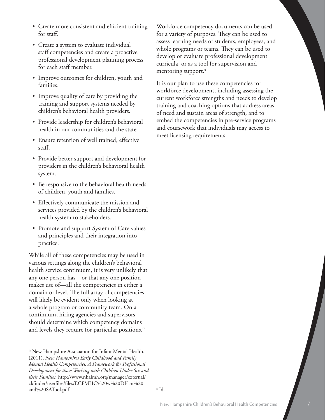- Create more consistent and efficient training for staff.
- Create a system to evaluate individual staff competencies and create a proactive professional development planning process for each staff member.
- Improve outcomes for children, youth and families.
- Improve quality of care by providing the training and support systems needed by children's behavioral health providers.
- • Provide leadership for children's behavioral health in our communities and the state.
- Ensure retention of well trained, effective staff.
- Provide better support and development for providers in the children's behavioral health system.
- Be responsive to the behavioral health needs of children, youth and families.
- Effectively communicate the mission and services provided by the children's behavioral health system to stakeholders.
- Promote and support System of Care values and principles and their integration into practice.

While all of these competencies may be used in various settings along the children's behavioral health service continuum, it is very unlikely that any one person has—or that any one position makes use of—all the competencies in either a domain or level. The full array of competencies will likely be evident only when looking at a whole program or community team. On a continuum, hiring agencies and supervisors should determine which competency domains and levels they require for particular positions. $\frac{1}{x}$ 

Workforce competency documents can be used for a variety of purposes. They can be used to assess learning needs of students, employees, and whole programs or teams. They can be used to develop or evaluate professional development curricula, or as a tool for supervision and mentoring support.<sup>x</sup>

It is our plan to use these competencies for workforce development, including assessing the current workforce strengths and needs to develop training and coaching options that address areas of need and sustain areas of strength, and to embed the competencies in pre-service programs and coursework that individuals may access to meet licensing requirements.

ix New Hampshire Association for Infant Mental Health. (2011). *New Hampshire's Early Childhood and Family Mental Health Competencies: A Framework for Professional Development for those Working with Children Under Six and their Families.* http://www.nhaimh.org/manager/external/ ckfinder/userfiles/files/ECFMHC%20w%20DPlan%20 and%20SATool.pdf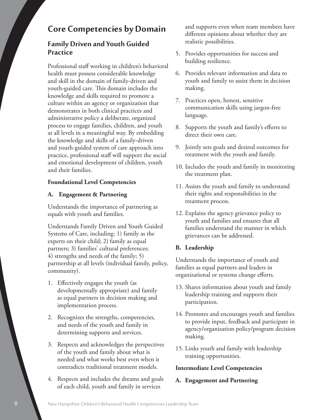# **Core Competencies by Domain**

# **Family Driven and Youth Guided Practice**

Professional staff working in children's behavioral health must possess considerable knowledge and skill in the domain of family-driven and youth-guided care. This domain includes the knowledge and skills required to promote a culture within an agency or organization that demonstrates in both clinical practices and administrative policy a deliberate, organized process to engage families, children, and youth at all levels in a meaningful way. By embedding the knowledge and skills of a family-driven and youth-guided system of care approach into practice, professional staff will support the social and emotional development of children, youth and their families.

#### **Foundational Level Competencies**

#### **A. Engagement & Partnering**

Understands the importance of partnering as equals with youth and families.

Understands Family Driven and Youth Guided Systems of Care, including: 1) family as the experts on their child; 2) family as equal partners; 3) families' cultural preferences; 4) strengths and needs of the family; 5) partnership at all levels (individual family, policy, community).

- 1. Effectively engages the youth (as developmentally appropriate) and family as equal partners in decision making and implementation process.
- 2. Recognizes the strengths, competencies, and needs of the youth and family in determining supports and services.
- 3. Respects and acknowledges the perspectives of the youth and family about what is needed and what works best even when it contradicts traditional treatment models.
- 4. Respects and includes the dreams and goals of each child, youth and family in services

and supports even when team members have different opinions about whether they are realistic possibilities.

- 5. Provides opportunities for success and building resilience.
- 6. Provides relevant information and data to youth and family to assist them in decision making.
- 7. Practices open, honest, sensitive communication skills using jargon-free language.
- 8. Supports the youth and family's efforts to direct their own care.
- 9. Jointly sets goals and desired outcomes for treatment with the youth and family.
- 10. Includes the youth and family in monitoring the treatment plan.
- 11. Assists the youth and family to understand their rights and responsibilities in the treatment process.
- 12. Explains the agency grievance policy to youth and families and ensures that all families understand the manner in which grievances can be addressed.

### **B. Leadership**

Understands the importance of youth and families as equal partners and leaders in organizational or systems change efforts.

- 13. Shares information about youth and family leadership training and supports their participation.
- 14. Promotes and encourages youth and families to provide input, feedback and participate in agency/organization policy/program decision making.
- 15. Links youth and family with leadership training opportunities.

#### **Intermediate Level Competencies**

#### **A. Engagement and Partnering**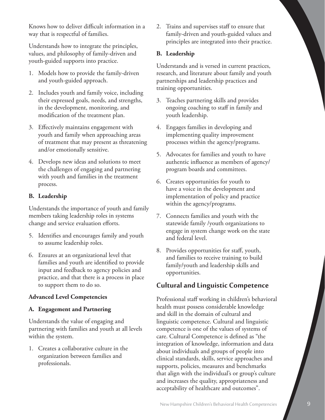Knows how to deliver difficult information in a way that is respectful of families.

Understands how to integrate the principles, values, and philosophy of family-driven and youth-guided supports into practice.

- 1. Models how to provide the family-driven and youth-guided approach.
- 2. Includes youth and family voice, including their expressed goals, needs, and strengths, in the development, monitoring, and modification of the treatment plan.
- 3. Effectively maintains engagement with youth and family when approaching areas of treatment that may present as threatening and/or emotionally sensitive.
- 4. Develops new ideas and solutions to meet the challenges of engaging and partnering with youth and families in the treatment process.

#### **B. Leadership**

Understands the importance of youth and family members taking leadership roles in systems change and service evaluation efforts.

- 5. Identifies and encourages family and youth to assume leadership roles.
- 6. Ensures at an organizational level that families and youth are identified to provide input and feedback to agency policies and practice, and that there is a process in place to support them to do so.

#### **Advanced Level Competencies**

#### **A. Engagement and Partnering**

Understands the value of engaging and partnering with families and youth at all levels within the system.

1. Creates a collaborative culture in the organization between families and professionals.

2. Trains and supervises staff to ensure that family-driven and youth-guided values and principles are integrated into their practice.

#### **B. Leadership**

Understands and is versed in current practices, research, and literature about family and youth partnerships and leadership practices and training opportunities.

- 3. Teaches partnering skills and provides ongoing coaching to staff in family and youth leadership.
- 4. Engages families in developing and implementing quality improvement processes within the agency/programs.
- 5. Advocates for families and youth to have authentic influence as members of agency/ program boards and committees.
- 6. Creates opportunities for youth to have a voice in the development and implementation of policy and practice within the agency/programs.
- 7. Connects families and youth with the statewide family /youth organizations to engage in system change work on the state and federal level.
- 8. Provides opportunities for staff, youth, and families to receive training to build family/youth and leadership skills and opportunities.

# **Cultural and Linguistic Competence**

Professional staff working in children's behavioral health must possess considerable knowledge and skill in the domain of cultural and linguistic competence. Cultural and linguistic competence is one of the values of systems of care. Cultural Competence is defined as "the integration of knowledge, information and data about individuals and groups of people into clinical standards, skills, service approaches and supports, policies, measures and benchmarks that align with the individual's or group's culture and increases the quality, appropriateness and acceptability of healthcare and outcomes".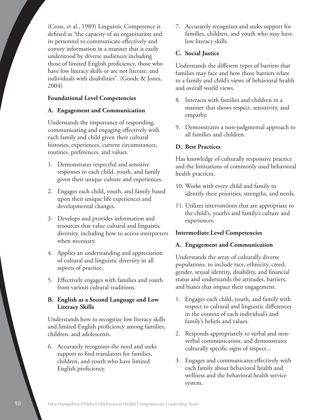(Cross, et al., 1989) Linguistic Competence is defined as "the capacity of an organization and its personnel to communicate effectively and convey information in a manner that is easily understood by diverse audiences including those of limited English proficiency, those who have low literacy skills or are not literate, and individuals with disabilities". (Goode & Jones, 2004)

#### **Foundational Level Competencies**

#### **A. Engagement and Communication**

Understands the importance of responding, communicating and engaging effectively with each family and child given their cultural histories, experiences, current circumstances, routines, preferences, and values.

- 1. Demonstrates respectful and sensitive responses to each child, youth, and family given their unique culture and experiences.
- 2. Engages each child, youth, and family based upon their unique life experiences and developmental changes.
- 3. Develops and provides information and resources that value cultural and linguistic diversity, including how to access interpreters when necessary.
- 4. Applies an understanding and appreciation of cultural and linguistic diversity in all aspects of practice.
- 5. Effectively engages with families and youth from various cultural traditions.

#### **B. English as a Second Language and Low Literacy Skills**

Understands how to recognize low literacy skills and limited English proficiency among families, children, and adolescents.

6. Accurately recognizes the need and seeks support to find translators for families, children, and youth who have limited English proficiency.

7. Accurately recognizes and seeks support for families, children, and youth who may have low literacy skills.

#### **C. Social Justice**

Understands the different types of barriers that families may face and how those barriers relate to a family and child's views of behavioral health and overall world views.

- 8. Interacts with families and children in a manner that shows respect, sensitivity, and empathy.
- 9. Demonstrates a non-judgmental approach to all families and children.

#### **D. Best Practices**

Has knowledge of culturally responsive practice and the limitations of commonly used behavioral health practices.

- 10. Works with every child and family to identify their priorities, strengths, and needs.
- 11. Utilizes interventions that are appropriate to the child's, youth's and family's culture and experiences.

#### **Intermediate Level Competencies**

#### **A. Engagement and Communication**

Understands the array of culturally diverse populations, to include race, ethnicity, creed, gender, sexual identity, disability, and financial status and understands the attitudes, barriers, and biases that impact their engagement.

- 1. Engages each child, youth, and family with respect to cultural and linguistic differences in the context of each individual's and family's beliefs and values.
- 2. Responds appropriately to verbal and nonverbal communication, and demonstrates culturally specific signs of respect...
- 3. Engages and communicates effectively with each family about behavioral health and wellness and the behavioral health service system.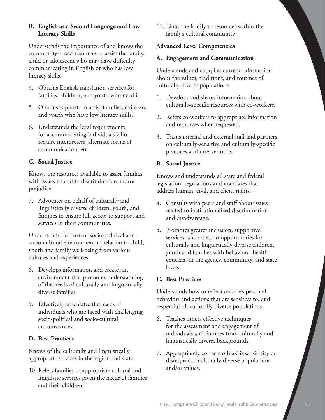#### **B. English as a Second Language and Low Literacy Skills**

Understands the importance of and knows the community-based resources to assist the family, child or adolescent who may have difficulty communicating in English or who has low literacy skills.

- 4. Obtains English translation services for families, children, and youth who need it.
- 5. Obtains supports to assist families, children, and youth who have low literacy skills.
- 6. Understands the legal requirements for accommodating individuals who require interpreters, alternate forms of communication, etc.

#### **C. Social Justice**

Knows the resources available to assist families with issues related to discrimination and/or prejudice.

7. Advocates on behalf of culturally and linguistically diverse children, youth, and families to ensure full access to support and services in their communities.

Understands the current socio-political and socio-cultural environment in relation to child, youth and family well-being from various cultures and experiences.

- 8. Develops information and creates an environment that promotes understanding of the needs of culturally and linguistically diverse families.
- 9. Effectively articulates the needs of individuals who are faced with challenging socio-political and socio-cultural circumstances.

#### **D. Best Practices**

Knows of the culturally and linguistically appropriate services in the region and state.

10. Refers families to appropriate cultural and linguistic services given the needs of families and their children.

11. Links the family to resources within the family's cultural community

#### **Advanced Level Competencies**

#### **A. Engagement and Communication**

Understands and compiles current information about the values, traditions, and routines of culturally diverse populations.

- 1. Develops and shares information about culturally-specific resources with co-workers.
- 2. Refers co-workers to appropriate information and resources when requested.
- 3. Trains internal and external staff and partners on culturally-sensitive and culturally-specific practices and interventions.

### **B. Social Justice**

Knows and understands all state and federal legislation, regulations and mandates that address human, civil, and client rights.

- 4. Consults with peers and staff about issues related to institutionalized discrimination and disadvantage.
- 5. Promotes greater inclusion, supportive services, and access to opportunities for culturally and linguistically diverse children, youth and families with behavioral health concerns at the agency, community, and state levels.

### **C. Best Practices**

Understands how to reflect on one's personal behaviors and actions that are sensitive to, and respectful of, culturally diverse populations.

- 6. Teaches others effective techniques for the assessment and engagement of individuals and families from culturally and linguistically diverse backgrounds.
- 7. Appropriately corrects others' insensitivity or disrespect to culturally diverse populations and/or values.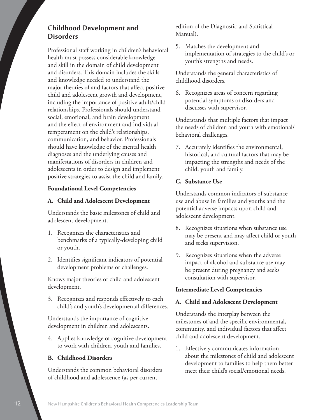# **Childhood Development and Disorders**

Professional staff working in children's behavioral health must possess considerable knowledge and skill in the domain of child development and disorders. This domain includes the skills and knowledge needed to understand the major theories of and factors that affect positive child and adolescent growth and development, including the importance of positive adult/child relationships. Professionals should understand social, emotional, and brain development and the effect of environment and individual temperament on the child's relationships, communication, and behavior. Professionals should have knowledge of the mental health diagnoses and the underlying causes and manifestations of disorders in children and adolescents in order to design and implement positive strategies to assist the child and family.

#### **Foundational Level Competencies**

#### **A. Child and Adolescent Development**

Understands the basic milestones of child and adolescent development.

- 1. Recognizes the characteristics and benchmarks of a typically-developing child or youth.
- 2. Identifies significant indicators of potential development problems or challenges.

Knows major theories of child and adolescent development.

3. Recognizes and responds effectively to each child's and youth's developmental differences.

Understands the importance of cognitive development in children and adolescents.

4. Applies knowledge of cognitive development to work with children, youth and families.

#### **B. Childhood Disorders**

Understands the common behavioral disorders of childhood and adolescence (as per current

edition of the Diagnostic and Statistical Manual).

5. Matches the development and implementation of strategies to the child's or youth's strengths and needs.

Understands the general characteristics of childhood disorders.

6. Recognizes areas of concern regarding potential symptoms or disorders and discusses with supervisor.

Understands that multiple factors that impact the needs of children and youth with emotional/ behavioral challenges.

7. Accurately identifies the environmental, historical, and cultural factors that may be impacting the strengths and needs of the child, youth and family.

#### **C. Substance Use**

Understands common indicators of substance use and abuse in families and youths and the potential adverse impacts upon child and adolescent development.

- 8. Recognizes situations when substance use may be present and may affect child or youth and seeks supervision.
- 9. Recognizes situations when the adverse impact of alcohol and substance use may be present during pregnancy and seeks consultation with supervisor.

#### **Intermediate Level Competencies**

#### **A. Child and Adolescent Development**

Understands the interplay between the milestones of and the specific environmental, community, and individual factors that affect child and adolescent development.

1. Effectively communicates information about the milestones of child and adolescent development to families to help them better meet their child's social/emotional needs.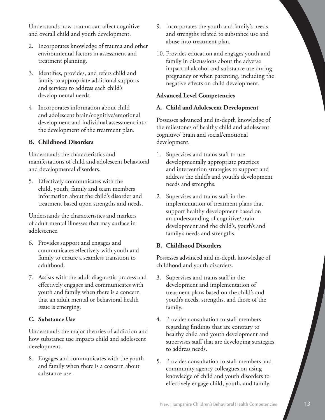Understands how trauma can affect cognitive and overall child and youth development.

- 2. Incorporates knowledge of trauma and other environmental factors in assessment and treatment planning.
- 3. Identifies, provides, and refers child and family to appropriate additional supports and services to address each child's developmental needs.
- 4 Incorporates information about child and adolescent brain/cognitive/emotional development and individual assessment into the development of the treatment plan.

#### **B. Childhood Disorders**

Understands the characteristics and manifestations of child and adolescent behavioral and developmental disorders.

5. Effectively communicates with the child, youth, family and team members information about the child's disorder and treatment based upon strengths and needs.

Understands the characteristics and markers of adult mental illnesses that may surface in adolescence.

- 6. Provides support and engages and communicates effectively with youth and family to ensure a seamless transition to adulthood.
- 7. Assists with the adult diagnostic process and effectively engages and communicates with youth and family when there is a concern that an adult mental or behavioral health issue is emerging.

#### **C. Substance Use**

Understands the major theories of addiction and how substance use impacts child and adolescent development.

8. Engages and communicates with the youth and family when there is a concern about substance use.

- 9. Incorporates the youth and family's needs and strengths related to substance use and abuse into treatment plan.
- 10. Provides education and engages youth and family in discussions about the adverse impact of alcohol and substance use during pregnancy or when parenting, including the negative effects on child development.

#### **Advanced Level Competencies**

#### **A. Child and Adolescent Development**

Possesses advanced and in-depth knowledge of the milestones of healthy child and adolescent cognitive/ brain and social/emotional development.

- 1. Supervises and trains staff to use developmentally appropriate practices and intervention strategies to support and address the child's and youth's development needs and strengths.
- 2. Supervises and trains staff in the implementation of treatment plans that support healthy development based on an understanding of cognitive/brain development and the child's, youth's and family's needs and strengths.

#### **B. Childhood Disorders**

Possesses advanced and in-depth knowledge of childhood and youth disorders.

- 3. Supervises and trains staff in the development and implementation of treatment plans based on the child's and youth's needs, strengths, and those of the family.
- 4. Provides consultation to staff members regarding findings that are contrary to healthy child and youth development and supervises staff that are developing strategies to address needs.
- 5. Provides consultation to staff members and community agency colleagues on using knowledge of child and youth disorders to effectively engage child, youth, and family.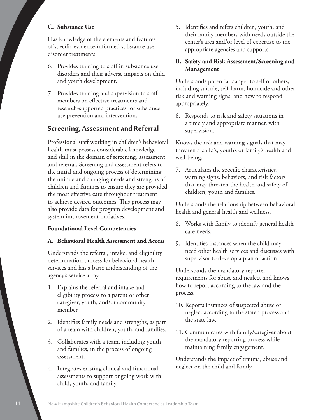#### **C. Substance Use**

Has knowledge of the elements and features of specific evidence-informed substance use disorder treatments.

- 6. Provides training to staff in substance use disorders and their adverse impacts on child and youth development.
- 7. Provides training and supervision to staff members on effective treatments and research-supported practices for substance use prevention and intervention.

## **Screening, Assessment and Referral**

Professional staff working in children's behavioral health must possess considerable knowledge and skill in the domain of screening, assessment and referral. Screening and assessment refers to the initial and ongoing process of determining the unique and changing needs and strengths of children and families to ensure they are provided the most effective care throughout treatment to achieve desired outcomes. This process may also provide data for program development and system improvement initiatives.

#### **Foundational Level Competencies**

#### **A. Behavioral Health Assessment and Access**

Understands the referral, intake, and eligibility determination process for behavioral health services and has a basic understanding of the agency's service array.

- 1. Explains the referral and intake and eligibility process to a parent or other caregiver, youth, and/or community member.
- 2. Identifies family needs and strengths, as part of a team with children, youth, and families.
- 3. Collaborates with a team, including youth and families, in the process of ongoing assessment.
- 4. Integrates existing clinical and functional assessments to support ongoing work with child, youth, and family.

5. Identifies and refers children, youth, and their family members with needs outside the center's area and/or level of expertise to the appropriate agencies and supports.

#### **B. Safety and Risk Assessment/Screening and Management**

Understands potential danger to self or others, including suicide, self-harm, homicide and other risk and warning signs, and how to respond appropriately.

6. Responds to risk and safety situations in a timely and appropriate manner, with supervision.

Knows the risk and warning signals that may threaten a child's, youth's or family's health and well-being.

7. Articulates the specific characteristics, warning signs, behaviors, and risk factors that may threaten the health and safety of children, youth and families.

Understands the relationship between behavioral health and general health and wellness.

- 8. Works with family to identify general health care needs.
- 9. Identifies instances when the child may need other health services and discusses with supervisor to develop a plan of action

Understands the mandatory reporter requirements for abuse and neglect and knows how to report according to the law and the process.

- 10. Reports instances of suspected abuse or neglect according to the stated process and the state law.
- 11. Communicates with family/caregiver about the mandatory reporting process while maintaining family engagement.

Understands the impact of trauma, abuse and neglect on the child and family.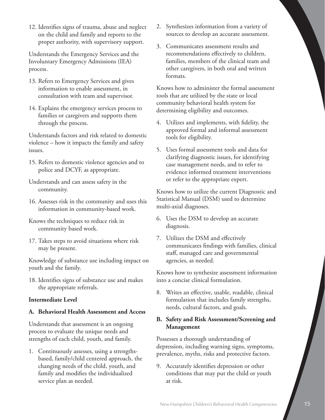12. Identifies signs of trauma, abuse and neglect on the child and family and reports to the proper authority, with supervisory support.

Understands the Emergency Services and the Involuntary Emergency Admissions (IEA) process.

- 13. Refers to Emergency Services and gives information to enable assessment, in consultation with team and supervisor.
- 14. Explains the emergency services process to families or caregivers and supports them through the process.

Understands factors and risk related to domestic violence – how it impacts the family and safety issues.

- 15. Refers to domestic violence agencies and to police and DCYF, as appropriate.
- Understands and can assess safety in the community.
- 16. Assesses risk in the community and uses this information in community-based work.
- Knows the techniques to reduce risk in community based work.
- 17. Takes steps to avoid situations where risk may be present.

Knowledge of substance use including impact on youth and the family.

18. Identifies signs of substance use and makes the appropriate referrals.

#### **Intermediate Level**

#### **A. Behavioral Health Assessment and Access**

Understands that assessment is an ongoing process to evaluate the unique needs and strengths of each child, youth, and family.

1. Continuously assesses, using a strengthsbased, family/child centered approach, the changing needs of the child, youth, and family and modifies the individualized service plan as needed.

- 2. Synthesizes information from a variety of sources to develop an accurate assessment.
- 3. Communicates assessment results and recommendations effectively to children, families, members of the clinical team and other caregivers, in both oral and written formats.

Knows how to administer the formal assessment tools that are utilized by the state or local community behavioral health system for determining eligibility and outcomes.

- 4. Utilizes and implements, with fidelity, the approved formal and informal assessment tools for eligibility.
- 5. Uses formal assessment tools and data for clarifying diagnostic issues, for identifying case management needs, and to refer to evidence informed treatment interventions or refer to the appropriate expert.

Knows how to utilize the current Diagnostic and Statistical Manual (DSM) used to determine multi-axial diagnoses.

- 6. Uses the DSM to develop an accurate diagnosis.
- 7. Utilizes the DSM and effectively communicates findings with families, clinical staff, managed care and governmental agencies, as needed.

Knows how to synthesize assessment information into a concise clinical formulation.

8. Writes an effective, usable, readable, clinical formulation that includes family strengths, needs, cultural factors, and goals.

#### **B. Safety and Risk Assessment/Screening and Management**

Possesses a thorough understanding of depression, including warning signs, symptoms, prevalence, myths, risks and protective factors.

9. Accurately identifies depression or other conditions that may put the child or youth at risk.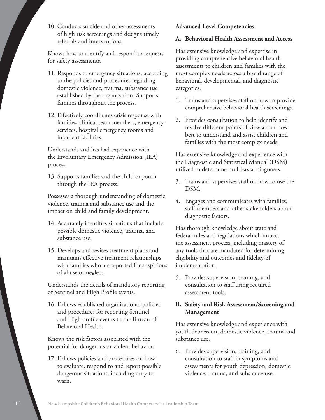10. Conducts suicide and other assessments of high risk screenings and designs timely referrals and interventions.

Knows how to identify and respond to requests for safety assessments.

- 11. Responds to emergency situations, according to the policies and procedures regarding domestic violence, trauma, substance use established by the organization. Supports families throughout the process.
- 12. Effectively coordinates crisis response with families, clinical team members, emergency services, hospital emergency rooms and inpatient facilities.

Understands and has had experience with the Involuntary Emergency Admission (IEA) process.

13. Supports families and the child or youth through the IEA process.

Possesses a thorough understanding of domestic violence, trauma and substance use and the impact on child and family development.

- 14. Accurately identifies situations that include possible domestic violence, trauma, and substance use.
- 15. Develops and revises treatment plans and maintains effective treatment relationships with families who are reported for suspicions of abuse or neglect.

Understands the details of mandatory reporting of Sentinel and High Profile events.

16. Follows established organizational policies and procedures for reporting Sentinel and High profile events to the Bureau of Behavioral Health.

Knows the risk factors associated with the potential for dangerous or violent behavior.

17. Follows policies and procedures on how to evaluate, respond to and report possible dangerous situations, including duty to warn.

#### **Advanced Level Competencies**

#### **A. Behavioral Health Assessment and Access**

Has extensive knowledge and expertise in providing comprehensive behavioral health assessments to children and families with the most complex needs across a broad range of behavioral, developmental, and diagnostic categories.

- 1. Trains and supervises staff on how to provide comprehensive behavioral health screenings.
- 2. Provides consultation to help identify and resolve different points of view about how best to understand and assist children and families with the most complex needs.

Has extensive knowledge and experience with the Diagnostic and Statistical Manual (DSM) utilized to determine multi-axial diagnoses.

- 3. Trains and supervises staff on how to use the DSM.
- 4. Engages and communicates with families, staff members and other stakeholders about diagnostic factors.

Has thorough knowledge about state and federal rules and regulations which impact the assessment process, including mastery of any tools that are mandated for determining eligibility and outcomes and fidelity of implementation.

5. Provides supervision, training, and consultation to staff using required assessment tools.

#### **B. Safety and Risk Assessment/Screening and Management**

Has extensive knowledge and experience with youth depression, domestic violence, trauma and substance use.

6. Provides supervision, training, and consultation to staff in symptoms and assessments for youth depression, domestic violence, trauma, and substance use.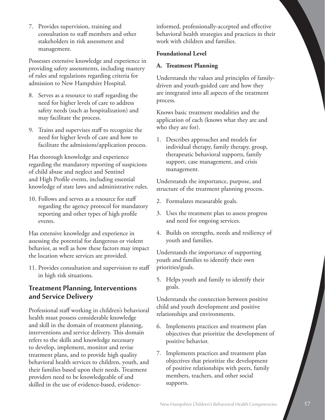7. Provides supervision, training and consultation to staff members and other stakeholders in risk assessment and management.

Possesses extensive knowledge and experience in providing safety assessments, including mastery of rules and regulations regarding criteria for admission to New Hampshire Hospital.

- 8. Serves as a resource to staff regarding the need for higher levels of care to address safety needs (such as hospitalization) and may facilitate the process.
- 9. Trains and supervises staff to recognize the need for higher levels of care and how to facilitate the admissions/application process.

Has thorough knowledge and experience regarding the mandatory reporting of suspicions of child abuse and neglect and Sentinel and High Profile events, including essential knowledge of state laws and administrative rules.

10. Follows and serves as a resource for staff regarding the agency protocol for mandatory reporting and other types of high profile events.

Has extensive knowledge and experience in assessing the potential for dangerous or violent behavior, as well as how these factors may impact the location where services are provided.

11. Provides consultation and supervision to staff in high risk situations.

## **Treatment Planning, Interventions and Service Delivery**

Professional staff working in children's behavioral health must possess considerable knowledge and skill in the domain of treatment planning, interventions and service delivery. This domain refers to the skills and knowledge necessary to develop, implement, monitor and revise treatment plans, and to provide high quality behavioral health services to children, youth, and their families based upon their needs. Treatment providers need to be knowledgeable of and skilled in the use of evidence-based, evidenceinformed, professionally-accepted and effective behavioral health strategies and practices in their work with children and families.

#### **Foundational Level**

#### **A. Treatment Planning**

Understands the values and principles of familydriven and youth-guided care and how they are integrated into all aspects of the treatment process.

Knows basic treatment modalities and the application of each (knows what they are and who they are for).

1. Describes approaches and models for individual therapy, family therapy, group, therapeutic behavioral supports, family support, case management, and crisis management.

Understands the importance, purpose, and structure of the treatment planning process.

- 2. Formulates measurable goals.
- 3. Uses the treatment plan to assess progress and need for ongoing services.
- 4. Builds on strengths, needs and resiliency of youth and families.

Understands the importance of supporting youth and families to identify their own priorities/goals.

5. Helps youth and family to identify their goals.

Understands the connection between positive child and youth development and positive relationships and environments.

- 6. Implements practices and treatment plan objectives that prioritize the development of positive behavior.
- 7. Implements practices and treatment plan objectives that prioritize the development of positive relationships with peers, family members, teachers, and other social supports.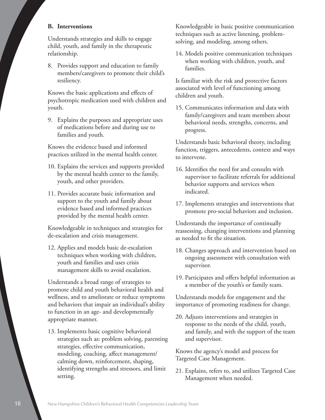#### **B. Interventions**

Understands strategies and skills to engage child, youth, and family in the therapeutic relationship.

8. Provides support and education to family members/caregivers to promote their child's resiliency.

Knows the basic applications and effects of psychotropic medication used with children and youth.

9. Explains the purposes and appropriate uses of medications before and during use to families and youth.

Knows the evidence based and informed practices utilized in the mental health center.

- 10. Explains the services and supports provided by the mental health center to the family, youth, and other providers.
- 11. Provides accurate basic information and support to the youth and family about evidence based and informed practices provided by the mental health center.

Knowledgeable in techniques and strategies for de-escalation and crisis management.

12. Applies and models basic de-escalation techniques when working with children, youth and families and uses crisis management skills to avoid escalation.

Understands a broad range of strategies to promote child and youth behavioral health and wellness, and to ameliorate or reduce symptoms and behaviors that impair an individual's ability to function in an age- and developmentally appropriate manner.

13. Implements basic cognitive behavioral strategies such as: problem solving, parenting strategies, effective communication, modeling, coaching, affect management/ calming down, reinforcement, shaping, identifying strengths and stressors, and limit setting.

Knowledgeable in basic positive communication techniques such as active listening, problemsolving, and modeling, among others.

14. Models positive communication techniques when working with children, youth, and families.

Is familiar with the risk and protective factors associated with level of functioning among children and youth.

15. Communicates information and data with family/caregivers and team members about behavioral needs, strengths, concerns, and progress.

Understands basic behavioral theory, including function, triggers, antecedents, context and ways to intervene.

- 16. Identifies the need for and consults with supervisor to facilitate referrals for additional behavior supports and services when indicated.
- 17. Implements strategies and interventions that promote pro-social behaviors and inclusion.

Understands the importance of continually reassessing, changing interventions and planning as needed to fit the situation.

- 18. Changes approach and intervention based on ongoing assessment with consultation with supervisor.
- 19. Participates and offers helpful information as a member of the youth's or family team.

Understands models for engagement and the importance of promoting readiness for change.

20. Adjusts interventions and strategies in response to the needs of the child, youth, and family, and with the support of the team and supervisor.

Knows the agency's model and process for Targeted Case Management.

21. Explains, refers to, and utilizes Targeted Case Management when needed.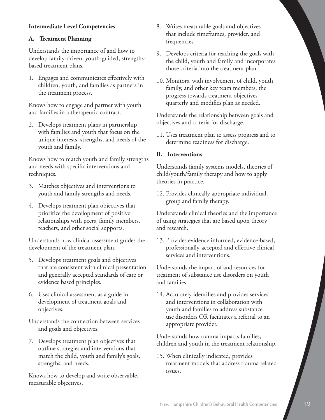#### **Intermediate Level Competencies**

#### **A. Treatment Planning**

Understands the importance of and how to develop family-driven, youth-guided, strengthsbased treatment plans.

1. Engages and communicates effectively with children, youth, and families as partners in the treatment process.

Knows how to engage and partner with youth and families in a therapeutic contract.

2. Develops treatment plans in partnership with families and youth that focus on the unique interests, strengths, and needs of the youth and family.

Knows how to match youth and family strengths and needs with specific interventions and techniques.

- 3. Matches objectives and interventions to youth and family strengths and needs.
- 4. Develops treatment plan objectives that prioritize the development of positive relationships with peers, family members, teachers, and other social supports.

Understands how clinical assessment guides the development of the treatment plan.

- 5. Develops treatment goals and objectives that are consistent with clinical presentation and generally accepted standards of care or evidence based principles.
- 6. Uses clinical assessment as a guide in development of treatment goals and objectives.

Understands the connection between services and goals and objectives.

7. Develops treatment plan objectives that outline strategies and interventions that match the child, youth and family's goals, strengths, and needs.

Knows how to develop and write observable, measurable objectives.

- 8. Writes measurable goals and objectives that include timeframes, provider, and frequencies.
- 9. Develops criteria for reaching the goals with the child, youth and family and incorporates those criteria into the treatment plan.
- 10. Monitors, with involvement of child, youth, family, and other key team members, the progress towards treatment objectives quarterly and modifies plan as needed.

Understands the relationship between goals and objectives and criteria for discharge.

11. Uses treatment plan to assess progress and to determine readiness for discharge.

#### **B. Interventions**

Understands family systems models, theories of child/youth/family therapy and how to apply theories in practice.

12. Provides clinically appropriate individual, group and family therapy.

Understands clinical theories and the importance of using strategies that are based upon theory and research.

13. Provides evidence informed, evidence-based, professionally-accepted and effective clinical services and interventions.

Understands the impact of and resources for treatment of substance use disorders on youth and families.

14. Accurately identifies and provides services and interventions in collaboration with youth and families to address substance use disorders OR facilitates a referral to an appropriate provider.

Understands how trauma impacts families, children and youth in the treatment relationship.

15. When clinically indicated, provides treatment models that address trauma related issues.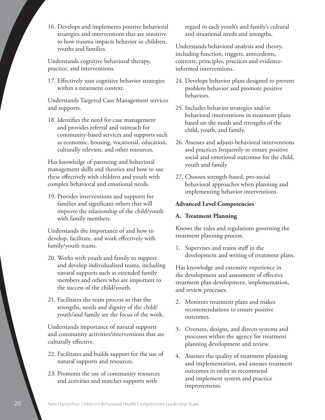16. Develops and implements positive behavioral strategies and interventions that are sensitive to how trauma impacts behavior in children, youths and families.

Understands cognitive behavioral therapy, practice, and interventions.

17. Effectively uses cognitive behavior strategies within a treatment context.

Understands Targeted Case Management services and supports.

18. Identifies the need for case management and provides referral and outreach for community-based services and supports such as economic, housing, vocational, education, culturally relevant, and other resources.

Has knowledge of parenting and behavioral management skills and theories and how to use these effectively with children and youth with complex behavioral and emotional needs.

19. Provides interventions and supports for families and significant others that will improve the relationship of the child/youth with family members.

Understands the importance of and how to develop, facilitate, and work effectively with family/youth teams.

- 20. Works with youth and family to support and develop individualized teams, including natural supports such as extended family members and others who are important to the success of the child/youth.
- 21. Facilitates the team process so that the strengths, needs and dignity of the child/ youth/and family are the focus of the work.

Understands importance of natural supports and community activities/interventions that are culturally effective.

- 22. Facilitates and builds support for the use of natural supports and resources.
- 23. Promotes the use of community resources and activities and matches supports with

regard to each youth's and family's cultural and situational needs and strengths.

Understands behavioral analysis and theory, including function, triggers, antecedents, contexts, principles, practices and evidenceinformed interventions.

- 24. Develops behavior plans designed to prevent problem behavior and promote positive behaviors.
- 25. Includes behavior strategies and/or behavioral interventions in treatment plans based on the needs and strengths of the child, youth, and family.
- 26. Assesses and adjusts behavioral interventions and practices frequently to ensure positive social and emotional outcomes for the child, youth and family.
- 27. Chooses strength-based, pro-social behavioral approaches when planning and implementing behavior interventions.

#### **Advanced Level Competencies**

#### **A. Treatment Planning**

Knows the rules and regulations governing the treatment planning process.

1. Supervises and trains staff in the development and writing of treatment plans.

Has knowledge and extensive experience in the development and assessment of effective treatment plan development, implementation, and review processes.

- 2. Monitors treatment plans and makes recommendations to ensure positive outcomes.
- 3. Oversees, designs, and directs systems and processes within the agency for treatment planning development and review.
- 4. Assesses the quality of treatment planning and implementation, and assesses treatment outcomes in order to recommend and implement system and practice improvements.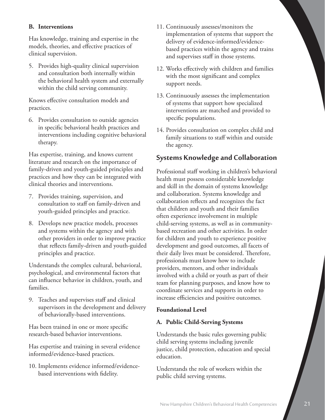#### **B. Interventions**

Has knowledge, training and expertise in the models, theories, and effective practices of clinical supervision.

5. Provides high-quality clinical supervision and consultation both internally within the behavioral health system and externally within the child serving community.

Knows effective consultation models and practices.

6. Provides consultation to outside agencies in specific behavioral health practices and interventions including cognitive behavioral therapy.

Has expertise, training, and knows current literature and research on the importance of family-driven and youth-guided principles and practices and how they can be integrated with clinical theories and interventions.

- 7. Provides training, supervision, and consultation to staff on family-driven and youth-guided principles and practice.
- 8. Develops new practice models, processes and systems within the agency and with other providers in order to improve practice that reflects family-driven and youth-guided principles and practice.

Understands the complex cultural, behavioral, psychological, and environmental factors that can influence behavior in children, youth, and families.

9. Teaches and supervises staff and clinical supervisors in the development and delivery of behaviorally-based interventions.

Has been trained in one or more specific research-based behavior interventions.

Has expertise and training in several evidence informed/evidence-based practices.

10. Implements evidence informed/evidencebased interventions with fidelity.

- 11. Continuously assesses/monitors the implementation of systems that support the delivery of evidence-informed/evidencebased practices within the agency and trains and supervises staff in those systems.
- 12. Works effectively with children and families with the most significant and complex support needs.
- 13. Continuously assesses the implementation of systems that support how specialized interventions are matched and provided to specific populations.
- 14. Provides consultation on complex child and family situations to staff within and outside the agency.

# **Systems Knowledge and Collaboration**

Professional staff working in children's behavioral health must possess considerable knowledge and skill in the domain of systems knowledge and collaboration. Systems knowledge and collaboration reflects and recognizes the fact that children and youth and their families often experience involvement in multiple child-serving systems, as well as in communitybased recreation and other activities. In order for children and youth to experience positive development and good outcomes, all facets of their daily lives must be considered. Therefore, professionals must know how to include providers, mentors, and other individuals involved with a child or youth as part of their team for planning purposes, and know how to coordinate services and supports in order to increase efficiencies and positive outcomes.

#### **Foundational Level**

#### **A. Public Child-Serving Systems**

Understands the basic rules governing public child serving systems including juvenile justice, child protection, education and special education.

Understands the role of workers within the public child serving systems.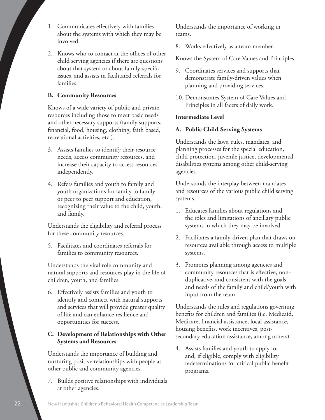- 1. Communicates effectively with families about the systems with which they may be involved.
- 2. Knows who to contact at the offices of other child serving agencies if there are questions about that system or about family-specific issues, and assists in facilitated referrals for families.

#### **B. Community Resources**

Knows of a wide variety of public and private resources including those to meet basic needs and other necessary supports (family supports, financial, food, housing, clothing, faith based, recreational activities, etc.).

- 3. Assists families to identify their resource needs, access community resources, and increase their capacity to access resources independently.
- 4. Refers families and youth to family and youth organizations for family to family or peer to peer support and education, recognizing their value to the child, youth, and family.

Understands the eligibility and referral process for these community resources.

5. Facilitates and coordinates referrals for families to community resources.

Understands the vital role community and natural supports and resources play in the life of children, youth, and families.

6. Effectively assists families and youth to identify and connect with natural supports and services that will provide greater quality of life and can enhance resilience and opportunities for success.

#### **C. Development of Relationships with Other Systems and Resources**

Understands the importance of building and nurturing positive relationships with people at other public and community agencies.

7. Builds positive relationships with individuals at other agencies.

Understands the importance of working in teams.

8. Works effectively as a team member.

Knows the System of Care Values and Principles.

- 9. Coordinates services and supports that demonstrate family-driven values when planning and providing services.
- 10. Demonstrates System of Care Values and Principles in all facets of daily work.

#### **Intermediate Level**

#### **A. Public Child-Serving Systems**

Understands the laws, rules, mandates, and planning processes for the special education, child protection, juvenile justice, developmental disabilities systems among other child-serving agencies.

Understands the interplay between mandates and resources of the various public child serving systems.

- 1. Educates families about regulations and the roles and limitations of ancillary public systems in which they may be involved.
- 2. Facilitates a family-driven plan that draws on resources available through access to multiple systems.
- 3. Promotes planning among agencies and community resources that is effective, nonduplicative, and consistent with the goals and needs of the family and child/youth with input from the team.

Understands the rules and regulations governing benefits for children and families (i.e. Medicaid, Medicare, financial assistance, local assistance, housing benefits, work incentives, postsecondary education assistance, among others).

4. Assists families and youth to apply for and, if eligible, comply with eligibility redeterminations for critical public benefit programs.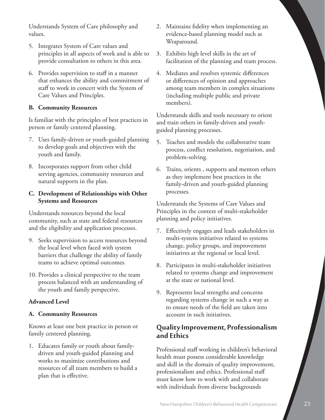Understands System of Care philosophy and values.

- 5. Integrates System of Care values and principles in all aspects of work and is able to provide consultation to others in this area.
- 6. Provides supervision to staff in a manner that enhances the ability and commitment of staff to work in concert with the System of Care Values and Principles.

#### **B. Community Resources**

Is familiar with the principles of best practices in person or family centered planning.

- 7. Uses family-driven or youth-guided planning to develop goals and objectives with the youth and family.
- 8. Incorporates support from other child serving agencies, community resources and natural supports in the plan.

#### **C. Development of Relationships with Other Systems and Resources**

Understands resources beyond the local community, such as state and federal resources and the eligibility and application processes.

- 9. Seeks supervision to access resources beyond the local level when faced with system barriers that challenge the ability of family teams to achieve optimal outcomes.
- 10. Provides a clinical perspective to the team process balanced with an understanding of the youth and family perspective.

#### **Advanced Level**

#### **A. Community Resources**

Knows at least one best practice in person or family centered planning.

1. Educates family or youth about familydriven and youth-guided planning and works to maximize contributions and resources of all team members to build a plan that is effective.

- 2. Maintains fidelity when implementing an evidence-based planning model such as Wraparound.
- 3. Exhibits high level skills in the art of facilitation of the planning and team process.
- 4. Mediates and resolves systemic differences or differences of opinion and approaches among team members in complex situations (including multiple public and private members).

Understands skills and tools necessary to orient and train others in family-driven and youthguided planning processes.

- 5. Teaches and models the collaborative team process, conflict resolution, negotiation, and problem-solving.
- 6. Trains, orients , supports and mentors others as they implement best practices in the family-driven and youth-guided planning processes.

Understands the Systems of Care Values and Principles in the context of multi-stakeholder planning and policy initiatives.

- 7. Effectively engages and leads stakeholders in multi-system initiatives related to systems change, policy groups, and improvement initiatives at the regional or local level.
- 8. Participates in multi-stakeholder initiatives related to systems change and improvement at the state or national level.
- 9. Represents local strengths and concerns regarding systems change in such a way as to ensure needs of the field are taken into account in such initiatives.

# **Quality Improvement, Professionalism and Ethics**

Professional staff working in children's behavioral health must possess considerable knowledge and skill in the domain of quality improvement, professionalism and ethics. Professional staff must know how to work with and collaborate with individuals from diverse backgrounds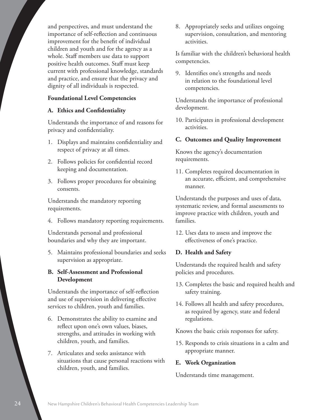and perspectives, and must understand the importance of self-reflection and continuous improvement for the benefit of individual children and youth and for the agency as a whole. Staff members use data to support positive health outcomes. Staff must keep current with professional knowledge, standards and practice, and ensure that the privacy and dignity of all individuals is respected.

#### **Foundational Level Competencies**

#### **A. Ethics and Confidentiality**

Understands the importance of and reasons for privacy and confidentiality.

- 1. Displays and maintains confidentiality and respect of privacy at all times.
- 2. Follows policies for confidential record keeping and documentation.
- 3. Follows proper procedures for obtaining consents.

Understands the mandatory reporting requirements.

4. Follows mandatory reporting requirements.

Understands personal and professional boundaries and why they are important.

- 5. Maintains professional boundaries and seeks supervision as appropriate.
- **B. Self-Assessment and Professional Development**

Understands the importance of self-reflection and use of supervision in delivering effective services to children, youth and families.

- 6. Demonstrates the ability to examine and reflect upon one's own values, biases, strengths, and attitudes in working with children, youth, and families.
- 7. Articulates and seeks assistance with situations that cause personal reactions with children, youth, and families.

8. Appropriately seeks and utilizes ongoing supervision, consultation, and mentoring activities.

Is familiar with the children's behavioral health competencies.

9. Identifies one's strengths and needs in relation to the foundational level competencies.

Understands the importance of professional development.

10. Participates in professional development activities.

#### **C. Outcomes and Quality Improvement**

Knows the agency's documentation requirements.

11. Completes required documentation in an accurate, efficient, and comprehensive manner.

Understands the purposes and uses of data, systematic review, and formal assessments to improve practice with children, youth and families.

12. Uses data to assess and improve the effectiveness of one's practice.

#### **D. Health and Safety**

Understands the required health and safety policies and procedures.

- 13. Completes the basic and required health and safety training.
- 14. Follows all health and safety procedures, as required by agency, state and federal regulations.

Knows the basic crisis responses for safety.

15. Responds to crisis situations in a calm and appropriate manner.

#### **E. Work Organization**

Understands time management.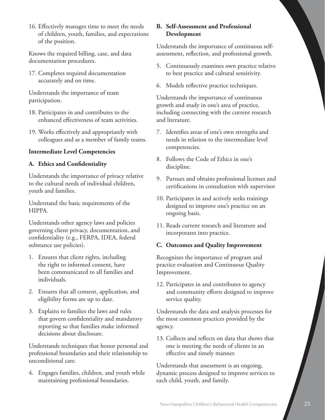16. Effectively manages time to meet the needs of children, youth, families, and expectations of the position.

Knows the required billing, case, and data documentation procedures.

17. Completes required documentation accurately and on time.

Understands the importance of team participation.

- 18. Participates in and contributes to the enhanced effectiveness of team activities.
- 19. Works effectively and appropriately with colleagues and as a member of family teams.

#### **Intermediate Level Competencies**

#### **A. Ethics and Confidentiality**

Understands the importance of privacy relative to the cultural needs of individual children, youth and families.

Understand the basic requirements of the HIPPA.

Understands other agency laws and policies governing client privacy, documentation, and confidentiality (e.g., FERPA, IDEA, federal substance use policies).

- 1. Ensures that client rights, including the right to informed consent, have been communicated to all families and individuals.
- 2. Ensures that all consent, application, and eligibility forms are up to date.
- 3. Explains to families the laws and rules that govern confidentiality and mandatory reporting so that families make informed decisions about disclosure.

Understands techniques that honor personal and professional boundaries and their relationship to unconditional care.

4. Engages families, children, and youth while maintaining professional boundaries.

#### **B. Self-Assessment and Professional Development**

Understands the importance of continuous selfassessment, reflection, and professional growth.

- 5. Continuously examines own practice relative to best practice and cultural sensitivity.
- 6. Models reflective practice techniques.

Understands the importance of continuous growth and study in one's area of practice, including connecting with the current research and literature.

- 7. Identifies areas of one's own strengths and needs in relation to the intermediate level competencies.
- 8. Follows the Code of Ethics in one's discipline.
- 9. Pursues and obtains professional licenses and certifications in consultation with supervisor
- 10. Participates in and actively seeks trainings designed to improve one's practice on an ongoing basis.
- 11. Reads current research and literature and incorporates into practice.

#### **C. Outcomes and Quality Improvement**

Recognizes the importance of program and practice evaluation and Continuous Quality Improvement.

12. Participates in and contributes to agency and community efforts designed to improve service quality.

Understands the data and analysis processes for the most common practices provided by the agency.

13. Collects and reflects on data that shows that one is meeting the needs of clients in an effective and timely manner.

Understands that assessment is an ongoing, dynamic process designed to improve services to each child, youth, and family.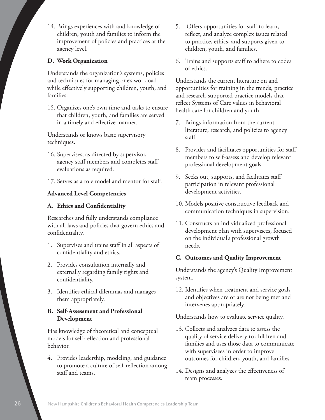14. Brings experiences with and knowledge of children, youth and families to inform the improvement of policies and practices at the agency level.

#### **D. Work Organization**

Understands the organization's systems, policies and techniques for managing one's workload while effectively supporting children, youth, and families.

15. Organizes one's own time and tasks to ensure that children, youth, and families are served in a timely and effective manner.

Understands or knows basic supervisory techniques.

- 16. Supervises, as directed by supervisor, agency staff members and completes staff evaluations as required.
- 17. Serves as a role model and mentor for staff.

#### **Advanced Level Competencies**

#### **A. Ethics and Confidentiality**

Researches and fully understands compliance with all laws and policies that govern ethics and confidentiality.

- 1. Supervises and trains staff in all aspects of confidentiality and ethics.
- 2. Provides consultation internally and externally regarding family rights and confidentiality.
- 3. Identifies ethical dilemmas and manages them appropriately.

#### **B. Self-Assessment and Professional Development**

Has knowledge of theoretical and conceptual models for self-reflection and professional behavior.

4. Provides leadership, modeling, and guidance to promote a culture of self-reflection among staff and teams.

- 5. Offers opportunities for staff to learn, reflect, and analyze complex issues related to practice, ethics, and supports given to children, youth, and families.
- 6. Trains and supports staff to adhere to codes of ethics.

Understands the current literature on and opportunities for training in the trends, practice and research-supported practice models that reflect Systems of Care values in behavioral health care for children and youth.

- 7. Brings information from the current literature, research, and policies to agency staff.
- 8. Provides and facilitates opportunities for staff members to self-assess and develop relevant professional development goals.
- 9. Seeks out, supports, and facilitates staff participation in relevant professional development activities.
- 10. Models positive constructive feedback and communication techniques in supervision.
- 11. Constructs an individualized professional development plan with supervisees, focused on the individual's professional growth needs.

#### **C. Outcomes and Quality Improvement**

Understands the agency's Quality Improvement system.

12. Identifies when treatment and service goals and objectives are or are not being met and intervenes appropriately.

Understands how to evaluate service quality.

- 13. Collects and analyzes data to assess the quality of service delivery to children and families and uses those data to communicate with supervisees in order to improve outcomes for children, youth, and families.
- 14. Designs and analyzes the effectiveness of team processes.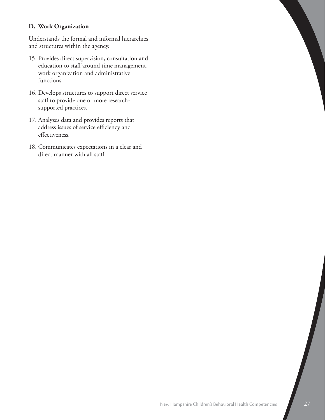#### **D. Work Organization**

Understands the formal and informal hierarchies and structures within the agency.

- 15. Provides direct supervision, consultation and education to staff around time management, work organization and administrative functions.
- 16. Develops structures to support direct service staff to provide one or more researchsupported practices.
- 17. Analyzes data and provides reports that address issues of service efficiency and effectiveness.
- 18. Communicates expectations in a clear and direct manner with all staff.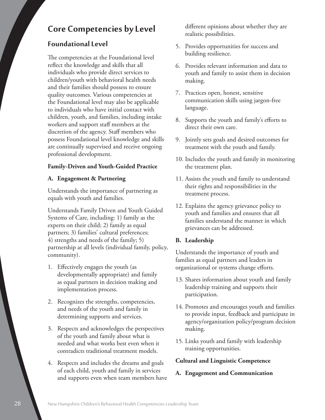# **Core Competencies by Level**

# **Foundational Level**

The competencies at the Foundational level reflect the knowledge and skills that all individuals who provide direct services to children/youth with behavioral health needs and their families should possess to ensure quality outcomes. Various competencies at the Foundational level may also be applicable to individuals who have initial contact with children, youth, and families, including intake workers and support staff members at the discretion of the agency. Staff members who possess Foundational level knowledge and skills are continually supervised and receive ongoing professional development.

#### **Family-Driven and Youth-Guided Practice**

#### **A. Engagement & Partnering**

Understands the importance of partnering as equals with youth and families.

Understands Family Driven and Youth Guided Systems of Care, including: 1) family as the experts on their child; 2) family as equal partners; 3) families' cultural preferences; 4) strengths and needs of the family; 5) partnership at all levels (individual family, policy, community).

- 1. Effectively engages the youth (as developmentally appropriate) and family as equal partners in decision making and implementation process.
- 2. Recognizes the strengths, competencies, and needs of the youth and family in determining supports and services.
- 3. Respects and acknowledges the perspectives of the youth and family about what is needed and what works best even when it contradicts traditional treatment models.
- 4. Respects and includes the dreams and goals of each child, youth and family in services and supports even when team members have

different opinions about whether they are realistic possibilities.

- 5. Provides opportunities for success and building resilience.
- 6. Provides relevant information and data to youth and family to assist them in decision making.
- 7. Practices open, honest, sensitive communication skills using jargon-free language.
- 8. Supports the youth and family's efforts to direct their own care.
- 9. Jointly sets goals and desired outcomes for treatment with the youth and family.
- 10. Includes the youth and family in monitoring the treatment plan.
- 11. Assists the youth and family to understand their rights and responsibilities in the treatment process.
- 12. Explains the agency grievance policy to youth and families and ensures that all families understand the manner in which grievances can be addressed.

#### **B. Leadership**

Understands the importance of youth and families as equal partners and leaders in organizational or systems change efforts.

- 13. Shares information about youth and family leadership training and supports their participation.
- 14. Promotes and encourages youth and families to provide input, feedback and participate in agency/organization policy/program decision making.
- 15. Links youth and family with leadership training opportunities.

#### **Cultural and Linguistic Competence**

**A. Engagement and Communication**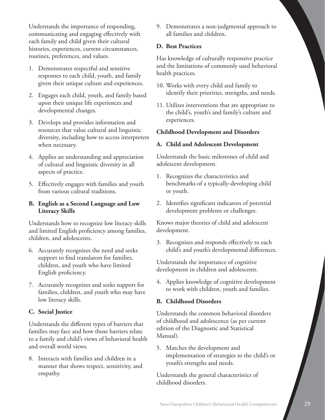Understands the importance of responding, communicating and engaging effectively with each family and child given their cultural histories, experiences, current circumstances, routines, preferences, and values.

- 1. Demonstrates respectful and sensitive responses to each child, youth, and family given their unique culture and experiences.
- 2. Engages each child, youth, and family based upon their unique life experiences and developmental changes.
- 3. Develops and provides information and resources that value cultural and linguistic diversity, including how to access interpreters when necessary.
- 4. Applies an understanding and appreciation of cultural and linguistic diversity in all aspects of practice.
- 5. Effectively engages with families and youth from various cultural traditions.

#### **B. English as a Second Language and Low Literacy Skills**

Understands how to recognize low literacy skills and limited English proficiency among families, children, and adolescents.

- 6. Accurately recognizes the need and seeks support to find translators for families, children, and youth who have limited English proficiency.
- 7. Accurately recognizes and seeks support for families, children, and youth who may have low literacy skills.

#### **C. Social Justice**

Understands the different types of barriers that families may face and how those barriers relate to a family and child's views of behavioral health and overall world views.

8. Interacts with families and children in a manner that shows respect, sensitivity, and empathy.

9. Demonstrates a non-judgmental approach to all families and children.

#### **D. Best Practices**

Has knowledge of culturally responsive practice and the limitations of commonly used behavioral health practices.

- 10. Works with every child and family to identify their priorities, strengths, and needs.
- 11. Utilizes interventions that are appropriate to the child's, youth's and family's culture and experiences.

#### **Childhood Development and Disorders**

#### **A. Child and Adolescent Development**

Understands the basic milestones of child and adolescent development.

- 1. Recognizes the characteristics and benchmarks of a typically-developing child or youth.
- 2. Identifies significant indicators of potential development problems or challenges.

Knows major theories of child and adolescent development.

3. Recognizes and responds effectively to each child's and youth's developmental differences.

Understands the importance of cognitive development in children and adolescents.

4. Applies knowledge of cognitive development to work with children, youth and families.

#### **B. Childhood Disorders**

Understands the common behavioral disorders of childhood and adolescence (as per current edition of the Diagnostic and Statistical Manual).

5. Matches the development and implementation of strategies to the child's or youth's strengths and needs.

Understands the general characteristics of childhood disorders.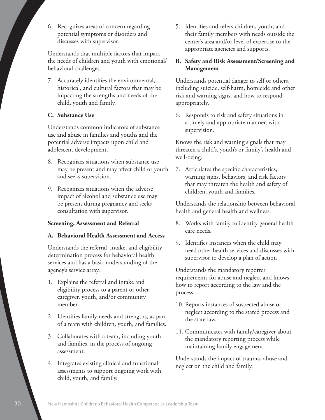6. Recognizes areas of concern regarding potential symptoms or disorders and discusses with supervisor.

Understands that multiple factors that impact the needs of children and youth with emotional/ behavioral challenges.

7. Accurately identifies the environmental, historical, and cultural factors that may be impacting the strengths and needs of the child, youth and family.

#### **C. Substance Use**

Understands common indicators of substance use and abuse in families and youths and the potential adverse impacts upon child and adolescent development.

- 8. Recognizes situations when substance use may be present and may affect child or youth and seeks supervision.
- 9. Recognizes situations when the adverse impact of alcohol and substance use may be present during pregnancy and seeks consultation with supervisor.

#### **Screening, Assessment and Referral**

#### **A. Behavioral Health Assessment and Access**

Understands the referral, intake, and eligibility determination process for behavioral health services and has a basic understanding of the agency's service array.

- 1. Explains the referral and intake and eligibility process to a parent or other caregiver, youth, and/or community member.
- 2. Identifies family needs and strengths, as part of a team with children, youth, and families.
- 3. Collaborates with a team, including youth and families, in the process of ongoing assessment.
- 4. Integrates existing clinical and functional assessments to support ongoing work with child, youth, and family.

5. Identifies and refers children, youth, and their family members with needs outside the center's area and/or level of expertise to the appropriate agencies and supports.

#### **B. Safety and Risk Assessment/Screening and Management**

Understands potential danger to self or others, including suicide, self-harm, homicide and other risk and warning signs, and how to respond appropriately.

6. Responds to risk and safety situations in a timely and appropriate manner, with supervision.

Knows the risk and warning signals that may threaten a child's, youth's or family's health and well-being.

7. Articulates the specific characteristics, warning signs, behaviors, and risk factors that may threaten the health and safety of children, youth and families.

Understands the relationship between behavioral health and general health and wellness.

- 8. Works with family to identify general health care needs.
- 9. Identifies instances when the child may need other health services and discusses with supervisor to develop a plan of action

Understands the mandatory reporter requirements for abuse and neglect and knows how to report according to the law and the process.

- 10. Reports instances of suspected abuse or neglect according to the stated process and the state law.
- 11. Communicates with family/caregiver about the mandatory reporting process while maintaining family engagement.

Understands the impact of trauma, abuse and neglect on the child and family.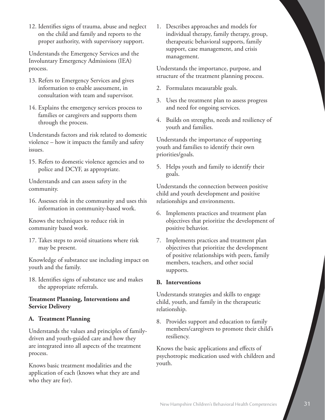12. Identifies signs of trauma, abuse and neglect on the child and family and reports to the proper authority, with supervisory support.

Understands the Emergency Services and the Involuntary Emergency Admissions (IEA) process.

- 13. Refers to Emergency Services and gives information to enable assessment, in consultation with team and supervisor.
- 14. Explains the emergency services process to families or caregivers and supports them through the process.

Understands factors and risk related to domestic violence – how it impacts the family and safety issues.

15. Refers to domestic violence agencies and to police and DCYF, as appropriate.

Understands and can assess safety in the community.

16. Assesses risk in the community and uses this information in community-based work.

Knows the techniques to reduce risk in community based work.

17. Takes steps to avoid situations where risk may be present.

Knowledge of substance use including impact on youth and the family.

18. Identifies signs of substance use and makes the appropriate referrals.

#### **Treatment Planning, Interventions and Service Delivery**

#### **A. Treatment Planning**

Understands the values and principles of familydriven and youth-guided care and how they are integrated into all aspects of the treatment process.

Knows basic treatment modalities and the application of each (knows what they are and who they are for).

1. Describes approaches and models for individual therapy, family therapy, group, therapeutic behavioral supports, family support, case management, and crisis management.

Understands the importance, purpose, and structure of the treatment planning process.

- 2. Formulates measurable goals.
- 3. Uses the treatment plan to assess progress and need for ongoing services.
- 4. Builds on strengths, needs and resiliency of youth and families.

Understands the importance of supporting youth and families to identify their own priorities/goals.

5. Helps youth and family to identify their goals.

Understands the connection between positive child and youth development and positive relationships and environments.

- 6. Implements practices and treatment plan objectives that prioritize the development of positive behavior.
- 7. Implements practices and treatment plan objectives that prioritize the development of positive relationships with peers, family members, teachers, and other social supports.

#### **B. Interventions**

Understands strategies and skills to engage child, youth, and family in the therapeutic relationship.

8. Provides support and education to family members/caregivers to promote their child's resiliency.

Knows the basic applications and effects of psychotropic medication used with children and youth.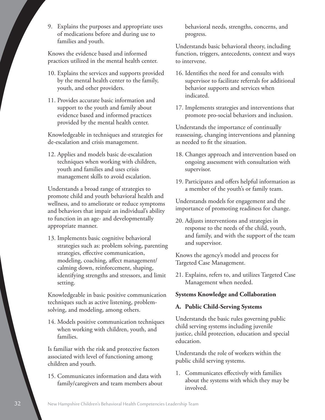9. Explains the purposes and appropriate uses of medications before and during use to families and youth.

Knows the evidence based and informed practices utilized in the mental health center.

- 10. Explains the services and supports provided by the mental health center to the family, youth, and other providers.
- 11. Provides accurate basic information and support to the youth and family about evidence based and informed practices provided by the mental health center.

Knowledgeable in techniques and strategies for de-escalation and crisis management.

12. Applies and models basic de-escalation techniques when working with children, youth and families and uses crisis management skills to avoid escalation.

Understands a broad range of strategies to promote child and youth behavioral health and wellness, and to ameliorate or reduce symptoms and behaviors that impair an individual's ability to function in an age- and developmentally appropriate manner.

13. Implements basic cognitive behavioral strategies such as: problem solving, parenting strategies, effective communication, modeling, coaching, affect management/ calming down, reinforcement, shaping, identifying strengths and stressors, and limit setting.

Knowledgeable in basic positive communication techniques such as active listening, problemsolving, and modeling, among others.

14. Models positive communication techniques when working with children, youth, and families.

Is familiar with the risk and protective factors associated with level of functioning among children and youth.

15. Communicates information and data with family/caregivers and team members about behavioral needs, strengths, concerns, and progress.

Understands basic behavioral theory, including function, triggers, antecedents, context and ways to intervene.

- 16. Identifies the need for and consults with supervisor to facilitate referrals for additional behavior supports and services when indicated.
- 17. Implements strategies and interventions that promote pro-social behaviors and inclusion.

Understands the importance of continually reassessing, changing interventions and planning as needed to fit the situation.

- 18. Changes approach and intervention based on ongoing assessment with consultation with supervisor.
- 19. Participates and offers helpful information as a member of the youth's or family team.

Understands models for engagement and the importance of promoting readiness for change.

20. Adjusts interventions and strategies in response to the needs of the child, youth, and family, and with the support of the team and supervisor.

Knows the agency's model and process for Targeted Case Management.

21. Explains, refers to, and utilizes Targeted Case Management when needed.

#### **Systems Knowledge and Collaboration**

#### **A. Public Child-Serving Systems**

Understands the basic rules governing public child serving systems including juvenile justice, child protection, education and special education.

Understands the role of workers within the public child serving systems.

1. Communicates effectively with families about the systems with which they may be involved.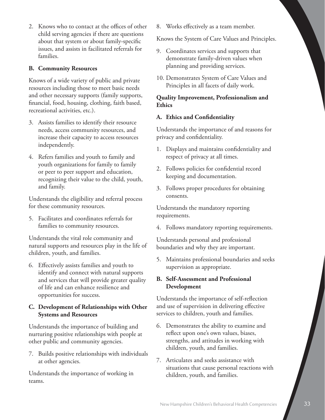2. Knows who to contact at the offices of other child serving agencies if there are questions about that system or about family-specific issues, and assists in facilitated referrals for families.

#### **B. Community Resources**

Knows of a wide variety of public and private resources including those to meet basic needs and other necessary supports (family supports, financial, food, housing, clothing, faith based, recreational activities, etc.).

- 3. Assists families to identify their resource needs, access community resources, and increase their capacity to access resources independently.
- 4. Refers families and youth to family and youth organizations for family to family or peer to peer support and education, recognizing their value to the child, youth, and family.

Understands the eligibility and referral process for these community resources.

5. Facilitates and coordinates referrals for families to community resources.

Understands the vital role community and natural supports and resources play in the life of children, youth, and families.

6. Effectively assists families and youth to identify and connect with natural supports and services that will provide greater quality of life and can enhance resilience and opportunities for success.

#### **C. Development of Relationships with Other Systems and Resources**

Understands the importance of building and nurturing positive relationships with people at other public and community agencies.

7. Builds positive relationships with individuals at other agencies.

Understands the importance of working in teams.

8. Works effectively as a team member.

Knows the System of Care Values and Principles.

- 9. Coordinates services and supports that demonstrate family-driven values when planning and providing services.
- 10. Demonstrates System of Care Values and Principles in all facets of daily work.

#### **Quality Improvement, Professionalism and Ethics**

#### **A. Ethics and Confidentiality**

Understands the importance of and reasons for privacy and confidentiality.

- 1. Displays and maintains confidentiality and respect of privacy at all times.
- 2. Follows policies for confidential record keeping and documentation.
- 3. Follows proper procedures for obtaining consents.

Understands the mandatory reporting requirements.

4. Follows mandatory reporting requirements.

Understands personal and professional boundaries and why they are important.

5. Maintains professional boundaries and seeks supervision as appropriate.

#### **B. Self-Assessment and Professional Development**

Understands the importance of self-reflection and use of supervision in delivering effective services to children, youth and families.

- 6. Demonstrates the ability to examine and reflect upon one's own values, biases, strengths, and attitudes in working with children, youth, and families.
- 7. Articulates and seeks assistance with situations that cause personal reactions with children, youth, and families.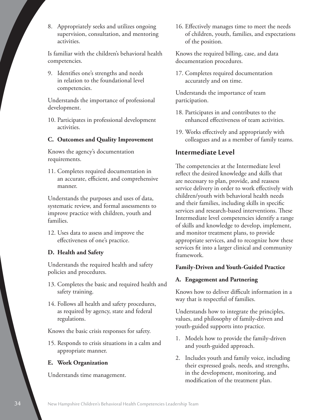8. Appropriately seeks and utilizes ongoing supervision, consultation, and mentoring activities.

Is familiar with the children's behavioral health competencies.

9. Identifies one's strengths and needs in relation to the foundational level competencies.

Understands the importance of professional development.

10. Participates in professional development activities.

#### **C. Outcomes and Quality Improvement**

Knows the agency's documentation requirements.

11. Completes required documentation in an accurate, efficient, and comprehensive manner.

Understands the purposes and uses of data, systematic review, and formal assessments to improve practice with children, youth and families.

12. Uses data to assess and improve the effectiveness of one's practice.

#### **D. Health and Safety**

Understands the required health and safety policies and procedures.

- 13. Completes the basic and required health and safety training.
- 14. Follows all health and safety procedures, as required by agency, state and federal regulations.

Knows the basic crisis responses for safety.

15. Responds to crisis situations in a calm and appropriate manner.

#### **E. Work Organization**

Understands time management.

16. Effectively manages time to meet the needs of children, youth, families, and expectations of the position.

Knows the required billing, case, and data documentation procedures.

17. Completes required documentation accurately and on time.

Understands the importance of team participation.

- 18. Participates in and contributes to the enhanced effectiveness of team activities.
- 19. Works effectively and appropriately with colleagues and as a member of family teams.

## **Intermediate Level**

The competencies at the Intermediate level reflect the desired knowledge and skills that are necessary to plan, provide, and reassess service delivery in order to work effectively with children/youth with behavioral health needs and their families, including skills in specific services and research-based interventions. These Intermediate level competencies identify a range of skills and knowledge to develop, implement, and monitor treatment plans, to provide appropriate services, and to recognize how these services fit into a larger clinical and community framework.

#### **Family-Driven and Youth-Guided Practice**

#### **A. Engagement and Partnering**

Knows how to deliver difficult information in a way that is respectful of families.

Understands how to integrate the principles, values, and philosophy of family-driven and youth-guided supports into practice.

- 1. Models how to provide the family-driven and youth-guided approach.
- 2. Includes youth and family voice, including their expressed goals, needs, and strengths, in the development, monitoring, and modification of the treatment plan.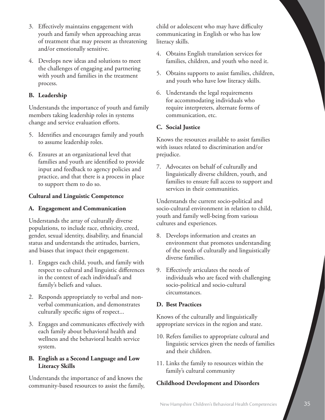- 3. Effectively maintains engagement with youth and family when approaching areas of treatment that may present as threatening and/or emotionally sensitive.
- 4. Develops new ideas and solutions to meet the challenges of engaging and partnering with youth and families in the treatment process.

#### **B. Leadership**

Understands the importance of youth and family members taking leadership roles in systems change and service evaluation efforts.

- 5. Identifies and encourages family and youth to assume leadership roles.
- 6. Ensures at an organizational level that families and youth are identified to provide input and feedback to agency policies and practice, and that there is a process in place to support them to do so.

#### **Cultural and Linguistic Competence**

#### **A. Engagement and Communication**

Understands the array of culturally diverse populations, to include race, ethnicity, creed, gender, sexual identity, disability, and financial status and understands the attitudes, barriers, and biases that impact their engagement.

- 1. Engages each child, youth, and family with respect to cultural and linguistic differences in the context of each individual's and family's beliefs and values.
- 2. Responds appropriately to verbal and nonverbal communication, and demonstrates culturally specific signs of respect...
- 3. Engages and communicates effectively with each family about behavioral health and wellness and the behavioral health service system.

#### **B. English as a Second Language and Low Literacy Skills**

Understands the importance of and knows the community-based resources to assist the family, child or adolescent who may have difficulty communicating in English or who has low literacy skills.

- 4. Obtains English translation services for families, children, and youth who need it.
- 5. Obtains supports to assist families, children, and youth who have low literacy skills.
- 6. Understands the legal requirements for accommodating individuals who require interpreters, alternate forms of communication, etc.

#### **C. Social Justice**

Knows the resources available to assist families with issues related to discrimination and/or prejudice.

7. Advocates on behalf of culturally and linguistically diverse children, youth, and families to ensure full access to support and services in their communities.

Understands the current socio-political and socio-cultural environment in relation to child, youth and family well-being from various cultures and experiences.

- 8. Develops information and creates an environment that promotes understanding of the needs of culturally and linguistically diverse families.
- 9. Effectively articulates the needs of individuals who are faced with challenging socio-political and socio-cultural circumstances.

#### **D. Best Practices**

Knows of the culturally and linguistically appropriate services in the region and state.

- 10. Refers families to appropriate cultural and linguistic services given the needs of families and their children.
- 11. Links the family to resources within the family's cultural community

#### **Childhood Development and Disorders**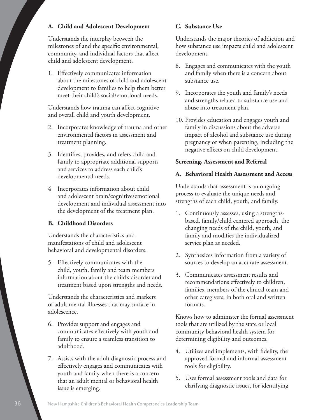#### **A. Child and Adolescent Development**

Understands the interplay between the milestones of and the specific environmental, community, and individual factors that affect child and adolescent development.

1. Effectively communicates information about the milestones of child and adolescent development to families to help them better meet their child's social/emotional needs.

Understands how trauma can affect cognitive and overall child and youth development.

- 2. Incorporates knowledge of trauma and other environmental factors in assessment and treatment planning.
- 3. Identifies, provides, and refers child and family to appropriate additional supports and services to address each child's developmental needs.
- 4 Incorporates information about child and adolescent brain/cognitive/emotional development and individual assessment into the development of the treatment plan.

#### **B. Childhood Disorders**

Understands the characteristics and manifestations of child and adolescent behavioral and developmental disorders.

5. Effectively communicates with the child, youth, family and team members information about the child's disorder and treatment based upon strengths and needs.

Understands the characteristics and markers of adult mental illnesses that may surface in adolescence.

- 6. Provides support and engages and communicates effectively with youth and family to ensure a seamless transition to adulthood.
- 7. Assists with the adult diagnostic process and effectively engages and communicates with youth and family when there is a concern that an adult mental or behavioral health issue is emerging.

#### **C. Substance Use**

Understands the major theories of addiction and how substance use impacts child and adolescent development.

- 8. Engages and communicates with the youth and family when there is a concern about substance use.
- 9. Incorporates the youth and family's needs and strengths related to substance use and abuse into treatment plan.
- 10. Provides education and engages youth and family in discussions about the adverse impact of alcohol and substance use during pregnancy or when parenting, including the negative effects on child development.

#### **Screening, Assessment and Referral**

#### **A. Behavioral Health Assessment and Access**

Understands that assessment is an ongoing process to evaluate the unique needs and strengths of each child, youth, and family.

- 1. Continuously assesses, using a strengthsbased, family/child centered approach, the changing needs of the child, youth, and family and modifies the individualized service plan as needed.
- 2. Synthesizes information from a variety of sources to develop an accurate assessment.
- 3. Communicates assessment results and recommendations effectively to children, families, members of the clinical team and other caregivers, in both oral and written formats.

Knows how to administer the formal assessment tools that are utilized by the state or local community behavioral health system for determining eligibility and outcomes.

- 4. Utilizes and implements, with fidelity, the approved formal and informal assessment tools for eligibility.
- 5. Uses formal assessment tools and data for clarifying diagnostic issues, for identifying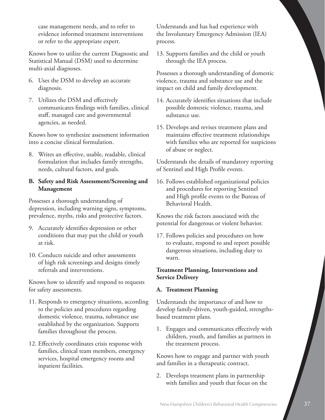case management needs, and to refer to evidence informed treatment interventions or refer to the appropriate expert.

Knows how to utilize the current Diagnostic and Statistical Manual (DSM) used to determine multi-axial diagnoses.

- 6. Uses the DSM to develop an accurate diagnosis.
- 7. Utilizes the DSM and effectively communicates findings with families, clinical staff, managed care and governmental agencies, as needed.

Knows how to synthesize assessment information into a concise clinical formulation.

8. Writes an effective, usable, readable, clinical formulation that includes family strengths, needs, cultural factors, and goals.

#### **B. Safety and Risk Assessment/Screening and Management**

Possesses a thorough understanding of depression, including warning signs, symptoms, prevalence, myths, risks and protective factors.

- 9. Accurately identifies depression or other conditions that may put the child or youth at risk.
- 10. Conducts suicide and other assessments of high risk screenings and designs timely referrals and interventions.

Knows how to identify and respond to requests for safety assessments.

- 11. Responds to emergency situations, according to the policies and procedures regarding domestic violence, trauma, substance use established by the organization. Supports families throughout the process.
- 12. Effectively coordinates crisis response with families, clinical team members, emergency services, hospital emergency rooms and inpatient facilities.

Understands and has had experience with the Involuntary Emergency Admission (IEA) process.

13. Supports families and the child or youth through the IEA process.

Possesses a thorough understanding of domestic violence, trauma and substance use and the impact on child and family development.

- 14. Accurately identifies situations that include possible domestic violence, trauma, and substance use.
- 15. Develops and revises treatment plans and maintains effective treatment relationships with families who are reported for suspicions of abuse or neglect.

Understands the details of mandatory reporting of Sentinel and High Profile events.

16. Follows established organizational policies and procedures for reporting Sentinel and High profile events to the Bureau of Behavioral Health.

Knows the risk factors associated with the potential for dangerous or violent behavior.

17. Follows policies and procedures on how to evaluate, respond to and report possible dangerous situations, including duty to warn.

#### **Treatment Planning, Interventions and Service Delivery**

#### **A. Treatment Planning**

Understands the importance of and how to develop family-driven, youth-guided, strengthsbased treatment plans.

1. Engages and communicates effectively with children, youth, and families as partners in the treatment process.

Knows how to engage and partner with youth and families in a therapeutic contract.

2. Develops treatment plans in partnership with families and youth that focus on the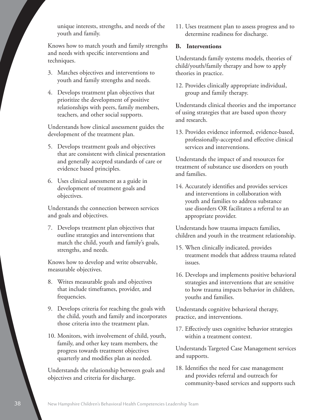unique interests, strengths, and needs of the youth and family.

Knows how to match youth and family strengths and needs with specific interventions and techniques.

- 3. Matches objectives and interventions to youth and family strengths and needs.
- 4. Develops treatment plan objectives that prioritize the development of positive relationships with peers, family members, teachers, and other social supports.

Understands how clinical assessment guides the development of the treatment plan.

- 5. Develops treatment goals and objectives that are consistent with clinical presentation and generally accepted standards of care or evidence based principles.
- 6. Uses clinical assessment as a guide in development of treatment goals and objectives.

Understands the connection between services and goals and objectives.

7. Develops treatment plan objectives that outline strategies and interventions that match the child, youth and family's goals, strengths, and needs.

Knows how to develop and write observable, measurable objectives.

- 8. Writes measurable goals and objectives that include timeframes, provider, and frequencies.
- 9. Develops criteria for reaching the goals with the child, youth and family and incorporates those criteria into the treatment plan.
- 10. Monitors, with involvement of child, youth, family, and other key team members, the progress towards treatment objectives quarterly and modifies plan as needed.

Understands the relationship between goals and objectives and criteria for discharge.

11. Uses treatment plan to assess progress and to determine readiness for discharge.

#### **B. Interventions**

Understands family systems models, theories of child/youth/family therapy and how to apply theories in practice.

12. Provides clinically appropriate individual, group and family therapy.

Understands clinical theories and the importance of using strategies that are based upon theory and research.

13. Provides evidence informed, evidence-based, professionally-accepted and effective clinical services and interventions.

Understands the impact of and resources for treatment of substance use disorders on youth and families.

14. Accurately identifies and provides services and interventions in collaboration with youth and families to address substance use disorders OR facilitates a referral to an appropriate provider.

Understands how trauma impacts families, children and youth in the treatment relationship.

- 15. When clinically indicated, provides treatment models that address trauma related issues.
- 16. Develops and implements positive behavioral strategies and interventions that are sensitive to how trauma impacts behavior in children, youths and families.

Understands cognitive behavioral therapy, practice, and interventions.

17. Effectively uses cognitive behavior strategies within a treatment context.

Understands Targeted Case Management services and supports.

18. Identifies the need for case management and provides referral and outreach for community-based services and supports such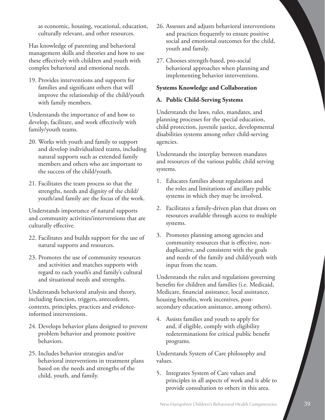as economic, housing, vocational, education, culturally relevant, and other resources.

Has knowledge of parenting and behavioral management skills and theories and how to use these effectively with children and youth with complex behavioral and emotional needs.

19. Provides interventions and supports for families and significant others that will improve the relationship of the child/youth with family members.

Understands the importance of and how to develop, facilitate, and work effectively with family/youth teams.

- 20. Works with youth and family to support and develop individualized teams, including natural supports such as extended family members and others who are important to the success of the child/youth.
- 21. Facilitates the team process so that the strengths, needs and dignity of the child/ youth/and family are the focus of the work.

Understands importance of natural supports and community activities/interventions that are culturally effective.

- 22. Facilitates and builds support for the use of natural supports and resources.
- 23. Promotes the use of community resources and activities and matches supports with regard to each youth's and family's cultural and situational needs and strengths.

Understands behavioral analysis and theory, including function, triggers, antecedents, contexts, principles, practices and evidenceinformed interventions.

- 24. Develops behavior plans designed to prevent problem behavior and promote positive behaviors.
- 25. Includes behavior strategies and/or behavioral interventions in treatment plans based on the needs and strengths of the child, youth, and family.
- 26. Assesses and adjusts behavioral interventions and practices frequently to ensure positive social and emotional outcomes for the child, youth and family.
- 27. Chooses strength-based, pro-social behavioral approaches when planning and implementing behavior interventions.

#### **Systems Knowledge and Collaboration**

#### **A. Public Child-Serving Systems**

Understands the laws, rules, mandates, and planning processes for the special education, child protection, juvenile justice, developmental disabilities systems among other child-serving agencies.

Understands the interplay between mandates and resources of the various public child serving systems.

- 1. Educates families about regulations and the roles and limitations of ancillary public systems in which they may be involved.
- 2. Facilitates a family-driven plan that draws on resources available through access to multiple systems.
- 3. Promotes planning among agencies and community resources that is effective, nonduplicative, and consistent with the goals and needs of the family and child/youth with input from the team.

Understands the rules and regulations governing benefits for children and families (i.e. Medicaid, Medicare, financial assistance, local assistance, housing benefits, work incentives, postsecondary education assistance, among others).

4. Assists families and youth to apply for and, if eligible, comply with eligibility redeterminations for critical public benefit programs.

Understands System of Care philosophy and values.

5. Integrates System of Care values and principles in all aspects of work and is able to provide consultation to others in this area.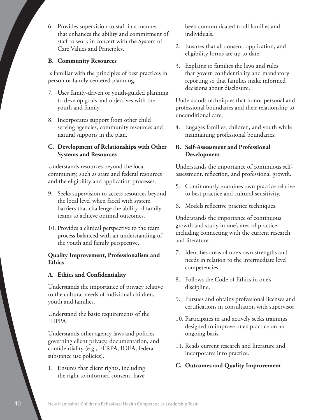6. Provides supervision to staff in a manner that enhances the ability and commitment of staff to work in concert with the System of Care Values and Principles.

#### **B. Community Resources**

Is familiar with the principles of best practices in person or family centered planning.

- 7. Uses family-driven or youth-guided planning to develop goals and objectives with the youth and family.
- 8. Incorporates support from other child serving agencies, community resources and natural supports in the plan.

#### **C. Development of Relationships with Other Systems and Resources**

Understands resources beyond the local community, such as state and federal resources and the eligibility and application processes.

- 9. Seeks supervision to access resources beyond the local level when faced with system barriers that challenge the ability of family teams to achieve optimal outcomes.
- 10. Provides a clinical perspective to the team process balanced with an understanding of the youth and family perspective.

#### **Quality Improvement, Professionalism and Ethics**

#### **A. Ethics and Confidentiality**

Understands the importance of privacy relative to the cultural needs of individual children, youth and families.

Understand the basic requirements of the HIPPA.

Understands other agency laws and policies governing client privacy, documentation, and confidentiality (e.g., FERPA, IDEA, federal substance use policies).

1. Ensures that client rights, including the right to informed consent, have

been communicated to all families and individuals.

- 2. Ensures that all consent, application, and eligibility forms are up to date.
- 3. Explains to families the laws and rules that govern confidentiality and mandatory reporting so that families make informed decisions about disclosure.

Understands techniques that honor personal and professional boundaries and their relationship to unconditional care.

4. Engages families, children, and youth while maintaining professional boundaries.

#### **B. Self-Assessment and Professional Development**

Understands the importance of continuous selfassessment, reflection, and professional growth.

- 5. Continuously examines own practice relative to best practice and cultural sensitivity.
- 6. Models reflective practice techniques.

Understands the importance of continuous growth and study in one's area of practice, including connecting with the current research and literature.

- 7. Identifies areas of one's own strengths and needs in relation to the intermediate level competencies.
- 8. Follows the Code of Ethics in one's discipline.
- 9. Pursues and obtains professional licenses and certifications in consultation with supervisor
- 10. Participates in and actively seeks trainings designed to improve one's practice on an ongoing basis.
- 11. Reads current research and literature and incorporates into practice.

#### **C. Outcomes and Quality Improvement**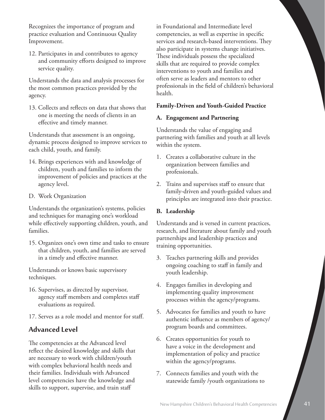Recognizes the importance of program and practice evaluation and Continuous Quality Improvement.

12. Participates in and contributes to agency and community efforts designed to improve service quality.

Understands the data and analysis processes for the most common practices provided by the agency.

13. Collects and reflects on data that shows that one is meeting the needs of clients in an effective and timely manner.

Understands that assessment is an ongoing, dynamic process designed to improve services to each child, youth, and family.

- 14. Brings experiences with and knowledge of children, youth and families to inform the improvement of policies and practices at the agency level.
- D. Work Organization

Understands the organization's systems, policies and techniques for managing one's workload while effectively supporting children, youth, and families.

15. Organizes one's own time and tasks to ensure that children, youth, and families are served in a timely and effective manner.

Understands or knows basic supervisory techniques.

- 16. Supervises, as directed by supervisor, agency staff members and completes staff evaluations as required.
- 17. Serves as a role model and mentor for staff.

## **Advanced Level**

The competencies at the Advanced level reflect the desired knowledge and skills that are necessary to work with children/youth with complex behavioral health needs and their families. Individuals with Advanced level competencies have the knowledge and skills to support, supervise, and train staff

in Foundational and Intermediate level competencies, as well as expertise in specific services and research-based interventions. They also participate in systems change initiatives. These individuals possess the specialized skills that are required to provide complex interventions to youth and families and often serve as leaders and mentors to other professionals in the field of children's behavioral health.

#### **Family-Driven and Youth-Guided Practice**

#### **A. Engagement and Partnering**

Understands the value of engaging and partnering with families and youth at all levels within the system.

- 1. Creates a collaborative culture in the organization between families and professionals.
- 2. Trains and supervises staff to ensure that family-driven and youth-guided values and principles are integrated into their practice.

#### **B. Leadership**

Understands and is versed in current practices, research, and literature about family and youth partnerships and leadership practices and training opportunities.

- 3. Teaches partnering skills and provides ongoing coaching to staff in family and youth leadership.
- 4. Engages families in developing and implementing quality improvement processes within the agency/programs.
- 5. Advocates for families and youth to have authentic influence as members of agency/ program boards and committees.
- 6. Creates opportunities for youth to have a voice in the development and implementation of policy and practice within the agency/programs.
- 7. Connects families and youth with the statewide family /youth organizations to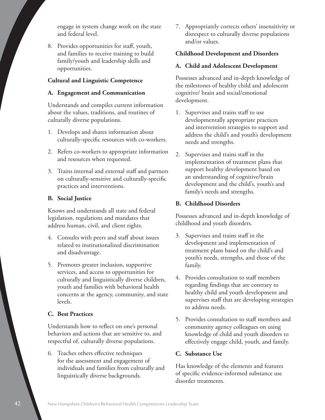engage in system change work on the state and federal level.

8. Provides opportunities for staff, youth, and families to receive training to build family/youth and leadership skills and opportunities.

#### **Cultural and Linguistic Competence**

#### **A. Engagement and Communication**

Understands and compiles current information about the values, traditions, and routines of culturally diverse populations.

- 1. Develops and shares information about culturally-specific resources with co-workers.
- 2. Refers co-workers to appropriate information and resources when requested.
- 3. Trains internal and external staff and partners on culturally-sensitive and culturally-specific practices and interventions.

#### **B. Social Justice**

Knows and understands all state and federal legislation, regulations and mandates that address human, civil, and client rights.

- 4. Consults with peers and staff about issues related to institutionalized discrimination and disadvantage.
- 5. Promotes greater inclusion, supportive services, and access to opportunities for culturally and linguistically diverse children, youth and families with behavioral health concerns at the agency, community, and state levels.

#### **C. Best Practices**

Understands how to reflect on one's personal behaviors and actions that are sensitive to, and respectful of, culturally diverse populations.

6. Teaches others effective techniques for the assessment and engagement of individuals and families from culturally and linguistically diverse backgrounds.

7. Appropriately corrects others' insensitivity or disrespect to culturally diverse populations and/or values.

#### **Childhood Development and Disorders**

#### **A. Child and Adolescent Development**

Possesses advanced and in-depth knowledge of the milestones of healthy child and adolescent cognitive/ brain and social/emotional development.

- 1. Supervises and trains staff to use developmentally appropriate practices and intervention strategies to support and address the child's and youth's development needs and strengths.
- 2. Supervises and trains staff in the implementation of treatment plans that support healthy development based on an understanding of cognitive/brain development and the child's, youth's and family's needs and strengths.

#### **B. Childhood Disorders**

Possesses advanced and in-depth knowledge of childhood and youth disorders.

- 3. Supervises and trains staff in the development and implementation of treatment plans based on the child's and youth's needs, strengths, and those of the family.
- 4. Provides consultation to staff members regarding findings that are contrary to healthy child and youth development and supervises staff that are developing strategies to address needs.
- 5. Provides consultation to staff members and community agency colleagues on using knowledge of child and youth disorders to effectively engage child, youth, and family.

#### **C. Substance Use**

Has knowledge of the elements and features of specific evidence-informed substance use disorder treatments.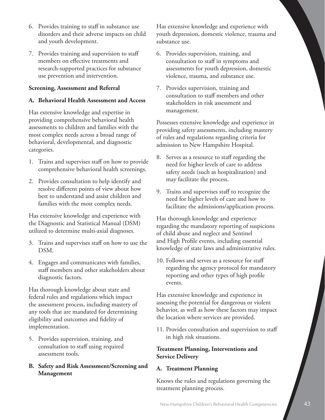- 6. Provides training to staff in substance use disorders and their adverse impacts on child and youth development.
- 7. Provides training and supervision to staff members on effective treatments and research-supported practices for substance use prevention and intervention.

#### **Screening, Assessment and Referral**

#### **A. Behavioral Health Assessment and Access**

Has extensive knowledge and expertise in providing comprehensive behavioral health assessments to children and families with the most complex needs across a broad range of behavioral, developmental, and diagnostic categories.

- 1. Trains and supervises staff on how to provide comprehensive behavioral health screenings.
- 2. Provides consultation to help identify and resolve different points of view about how best to understand and assist children and families with the most complex needs.

Has extensive knowledge and experience with the Diagnostic and Statistical Manual (DSM) utilized to determine multi-axial diagnoses.

- 3. Trains and supervises staff on how to use the DSM.
- 4. Engages and communicates with families, staff members and other stakeholders about diagnostic factors.

Has thorough knowledge about state and federal rules and regulations which impact the assessment process, including mastery of any tools that are mandated for determining eligibility and outcomes and fidelity of implementation.

- 5. Provides supervision, training, and consultation to staff using required assessment tools.
- **B. Safety and Risk Assessment/Screening and Management**

Has extensive knowledge and experience with youth depression, domestic violence, trauma and substance use.

- 6. Provides supervision, training, and consultation to staff in symptoms and assessments for youth depression, domestic violence, trauma, and substance use.
- 7. Provides supervision, training and consultation to staff members and other stakeholders in risk assessment and management.

Possesses extensive knowledge and experience in providing safety assessments, including mastery of rules and regulations regarding criteria for admission to New Hampshire Hospital.

- 8. Serves as a resource to staff regarding the need for higher levels of care to address safety needs (such as hospitalization) and may facilitate the process.
- 9. Trains and supervises staff to recognize the need for higher levels of care and how to facilitate the admissions/application process.

Has thorough knowledge and experience regarding the mandatory reporting of suspicions of child abuse and neglect and Sentinel and High Profile events, including essential knowledge of state laws and administrative rules.

10. Follows and serves as a resource for staff regarding the agency protocol for mandatory reporting and other types of high profile events.

Has extensive knowledge and experience in assessing the potential for dangerous or violent behavior, as well as how these factors may impact the location where services are provided.

11. Provides consultation and supervision to staff in high risk situations.

#### **Treatment Planning, Interventions and Service Delivery**

#### **A. Treatment Planning**

Knows the rules and regulations governing the treatment planning process.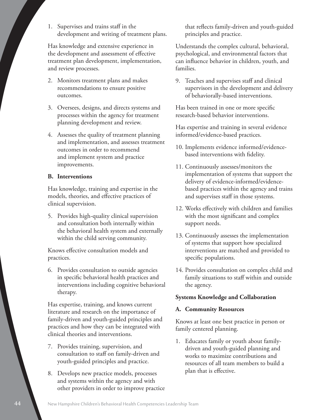1. Supervises and trains staff in the development and writing of treatment plans.

Has knowledge and extensive experience in the development and assessment of effective treatment plan development, implementation, and review processes.

- 2. Monitors treatment plans and makes recommendations to ensure positive outcomes.
- 3. Oversees, designs, and directs systems and processes within the agency for treatment planning development and review.
- 4. Assesses the quality of treatment planning and implementation, and assesses treatment outcomes in order to recommend and implement system and practice improvements.

#### **B. Interventions**

Has knowledge, training and expertise in the models, theories, and effective practices of clinical supervision.

5. Provides high-quality clinical supervision and consultation both internally within the behavioral health system and externally within the child serving community.

Knows effective consultation models and practices.

6. Provides consultation to outside agencies in specific behavioral health practices and interventions including cognitive behavioral therapy.

Has expertise, training, and knows current literature and research on the importance of family-driven and youth-guided principles and practices and how they can be integrated with clinical theories and interventions.

- 7. Provides training, supervision, and consultation to staff on family-driven and youth-guided principles and practice.
- 8. Develops new practice models, processes and systems within the agency and with other providers in order to improve practice

that reflects family-driven and youth-guided principles and practice.

Understands the complex cultural, behavioral, psychological, and environmental factors that can influence behavior in children, youth, and families.

9. Teaches and supervises staff and clinical supervisors in the development and delivery of behaviorally-based interventions.

Has been trained in one or more specific research-based behavior interventions.

Has expertise and training in several evidence informed/evidence-based practices.

- 10. Implements evidence informed/evidencebased interventions with fidelity.
- 11. Continuously assesses/monitors the implementation of systems that support the delivery of evidence-informed/evidencebased practices within the agency and trains and supervises staff in those systems.
- 12. Works effectively with children and families with the most significant and complex support needs.
- 13. Continuously assesses the implementation of systems that support how specialized interventions are matched and provided to specific populations.
- 14. Provides consultation on complex child and family situations to staff within and outside the agency.

#### **Systems Knowledge and Collaboration**

#### **A. Community Resources**

Knows at least one best practice in person or family centered planning.

1. Educates family or youth about familydriven and youth-guided planning and works to maximize contributions and resources of all team members to build a plan that is effective.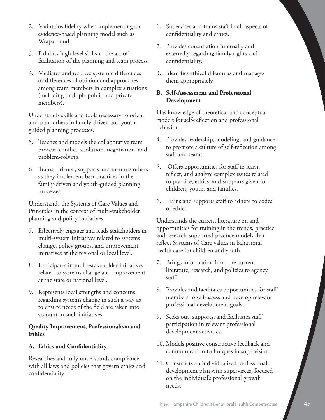- 2. Maintains fidelity when implementing an evidence-based planning model such as Wraparound.
- 3. Exhibits high level skills in the art of facilitation of the planning and team process.
- 4. Mediates and resolves systemic differences or differences of opinion and approaches among team members in complex situations (including multiple public and private members).

Understands skills and tools necessary to orient and train others in family-driven and youthguided planning processes.

- 5. Teaches and models the collaborative team process, conflict resolution, negotiation, and problem-solving.
- 6. Trains, orients , supports and mentors others as they implement best practices in the family-driven and youth-guided planning processes.

Understands the Systems of Care Values and Principles in the context of multi-stakeholder planning and policy initiatives.

- 7. Effectively engages and leads stakeholders in multi-system initiatives related to systems change, policy groups, and improvement initiatives at the regional or local level.
- 8. Participates in multi-stakeholder initiatives related to systems change and improvement at the state or national level.
- 9. Represents local strengths and concerns regarding systems change in such a way as to ensure needs of the field are taken into account in such initiatives.

#### **Quality Improvement, Professionalism and Ethics**

#### **A. Ethics and Confidentiality**

Researches and fully understands compliance with all laws and policies that govern ethics and confidentiality.

- 1. Supervises and trains staff in all aspects of confidentiality and ethics.
- 2. Provides consultation internally and externally regarding family rights and confidentiality.
- 3. Identifies ethical dilemmas and manages them appropriately.

#### **B. Self-Assessment and Professional Development**

Has knowledge of theoretical and conceptual models for self-reflection and professional behavior.

- 4. Provides leadership, modeling, and guidance to promote a culture of self-reflection among staff and teams.
- 5. Offers opportunities for staff to learn, reflect, and analyze complex issues related to practice, ethics, and supports given to children, youth, and families.
- 6. Trains and supports staff to adhere to codes of ethics.

Understands the current literature on and opportunities for training in the trends, practice and research-supported practice models that reflect Systems of Care values in behavioral health care for children and youth.

- 7. Brings information from the current literature, research, and policies to agency staff.
- 8. Provides and facilitates opportunities for staff members to self-assess and develop relevant professional development goals.
- 9. Seeks out, supports, and facilitates staff participation in relevant professional development activities.
- 10. Models positive constructive feedback and communication techniques in supervision.
- 11. Constructs an individualized professional development plan with supervisees, focused on the individual's professional growth needs.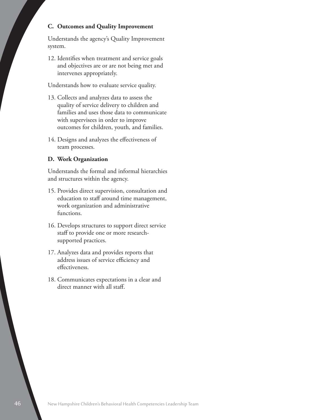#### **C. Outcomes and Quality Improvement**

Understands the agency's Quality Improvement system.

12. Identifies when treatment and service goals and objectives are or are not being met and intervenes appropriately.

Understands how to evaluate service quality.

- 13. Collects and analyzes data to assess the quality of service delivery to children and families and uses those data to communicate with supervisees in order to improve outcomes for children, youth, and families.
- 14. Designs and analyzes the effectiveness of team processes.

#### **D. Work Organization**

Understands the formal and informal hierarchies and structures within the agency.

- 15. Provides direct supervision, consultation and education to staff around time management, work organization and administrative functions.
- 16. Develops structures to support direct service staff to provide one or more researchsupported practices.
- 17. Analyzes data and provides reports that address issues of service efficiency and effectiveness.
- 18. Communicates expectations in a clear and direct manner with all staff.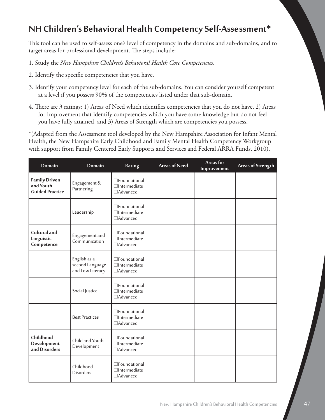# **NH Children's Behavioral Health Competency Self-Assessment\***

This tool can be used to self-assess one's level of competency in the domains and sub-domains, and to target areas for professional development. The steps include:

- 1. Study the *New Hampshire Children's Behavioral Health Core Competencies*.
- 2. Identify the specific competencies that you have.
- 3. Identify your competency level for each of the sub-domains. You can consider yourself competent at a level if you possess 90% of the competencies listed under that sub-domain.
- 4. There are 3 ratings: 1) Areas of Need which identifies competencies that you do not have, 2) Areas for Improvement that identify competencies which you have some knowledge but do not feel you have fully attained, and 3) Areas of Strength which are competencies you possess.

\*(Adapted from the Assessment tool developed by the New Hampshire Association for Infant Mental Health, the New Hampshire Early Childhood and Family Mental Health Competency Workgroup with support from Family Centered Early Supports and Services and Federal ARRA Funds, 2010).

| Domain                                                      | Domain                                              | Rating                                            | <b>Areas of Need</b> | Areas for<br>Improvement | <b>Areas of Strength</b> |
|-------------------------------------------------------------|-----------------------------------------------------|---------------------------------------------------|----------------------|--------------------------|--------------------------|
| <b>Family Driven</b><br>and Youth<br><b>Guided Practice</b> | Engagement &<br>Partnering                          | □Foundational<br>$\Box$ Intermediate<br>□Advanced |                      |                          |                          |
|                                                             | Leadership                                          | □Foundational<br>$\Box$ Intermediate<br>□Advanced |                      |                          |                          |
| Cultural and<br>Linguistic<br>Competence                    | Engagement and<br>Communication                     | □Foundational<br>$\Box$ Intermediate<br>□Advanced |                      |                          |                          |
|                                                             | English as a<br>second Language<br>and Low Literacy | □Foundational<br>$\Box$ Intermediate<br>□Advanced |                      |                          |                          |
|                                                             | Social Justice                                      | □Foundational<br>$\Box$ Intermediate<br>□Advanced |                      |                          |                          |
|                                                             | <b>Best Practices</b>                               | □Foundational<br>$\Box$ Intermediate<br>□Advanced |                      |                          |                          |
| Childhood<br>Development<br>and Disorders                   | Child and Youth<br>Development                      | □Foundational<br>$\Box$ Intermediate<br>□Advanced |                      |                          |                          |
|                                                             | Childhood<br><b>Disorders</b>                       | □Foundational<br>$\Box$ Intermediate<br>□Advanced |                      |                          |                          |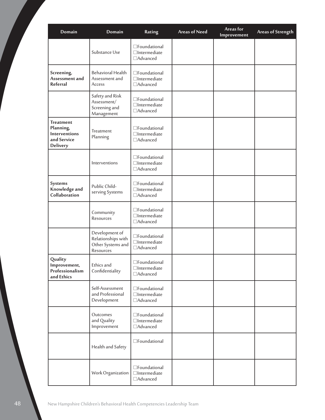| Domain                                                                    | Domain                                                                 | Rating                                                     | <b>Areas of Need</b> | Areas for<br>Improvement | <b>Areas of Strength</b> |
|---------------------------------------------------------------------------|------------------------------------------------------------------------|------------------------------------------------------------|----------------------|--------------------------|--------------------------|
|                                                                           | Substance Use                                                          | □Foundational<br>$\Box$ Intermediate<br>□Advanced          |                      |                          |                          |
| Screening,<br>Assessment and<br>Referral                                  | <b>Behavioral Health</b><br>Assessment and<br>Access                   | □Foundational<br>$\Box$ Intermediate<br>□Advanced          |                      |                          |                          |
|                                                                           | Safety and Risk<br>Assessment/<br>Screening and<br>Management          | □Foundational<br>$\Box$ Intermediate<br>□Advanced          |                      |                          |                          |
| <b>Treatment</b><br>Planning,<br>Interventions<br>and Service<br>Delivery | Treatment<br>Planning                                                  | □Foundational<br>$\Box$ Intermediate<br>□Advanced          |                      |                          |                          |
|                                                                           | Interventions                                                          | □Foundational<br>$\Box$ Intermediate<br>□Advanced          |                      |                          |                          |
| Systems<br>Knowledge and<br>Collaboration                                 | Public Child-<br>serving Systems                                       | □Foundational<br>$\Box$ Intermediate<br>□Advanced          |                      |                          |                          |
|                                                                           | Community<br>Resources                                                 | □Foundational<br>$\Box$ Intermediate<br>□Advanced          |                      |                          |                          |
|                                                                           | Development of<br>Relationships with<br>Other Systems and<br>Resources | □Foundational<br>$\Box$ Intermediate<br>□Advanced          |                      |                          |                          |
| Quality<br>Improvement,<br>Professionalism<br>and Ethics                  | Ethics and<br>Confidentiality                                          | $\square$ Foundational<br>$\Box$ Intermediate<br>□Advanced |                      |                          |                          |
|                                                                           | Self-Assessment<br>and Professional<br>Development                     | □Foundational<br>$\Box$ Intermediate<br>□Advanced          |                      |                          |                          |
|                                                                           | Outcomes<br>and Quality<br>Improvement                                 | □Foundational<br>$\Box$ Intermediate<br>□Advanced          |                      |                          |                          |
|                                                                           | Health and Safety                                                      | □Foundational                                              |                      |                          |                          |
|                                                                           | Work Organization                                                      | □Foundational<br>$\Box$ Intermediate<br>□Advanced          |                      |                          |                          |